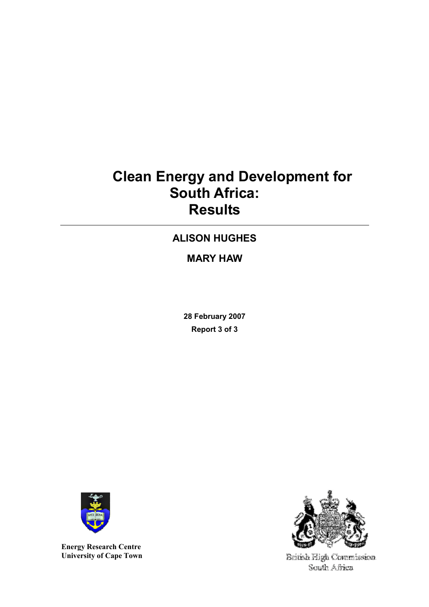# Clean Energy and Development for South Africa: Results

# ALISON HUGHES

MARY HAW

28 February 2007 Report 3 of 3



Energy Research Centre University of Cape Town



British High Commission. South Africa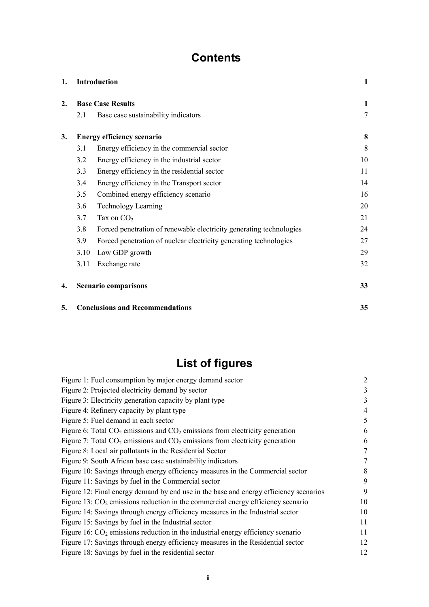# **Contents**

| 1. | <b>Introduction</b>      |                                                                     |    |  |  |  |
|----|--------------------------|---------------------------------------------------------------------|----|--|--|--|
| 2. | <b>Base Case Results</b> |                                                                     |    |  |  |  |
|    | 2.1                      | Base case sustainability indicators                                 | 7  |  |  |  |
| 3. |                          | <b>Energy efficiency scenario</b>                                   | 8  |  |  |  |
|    | 3.1                      | Energy efficiency in the commercial sector                          | 8  |  |  |  |
|    | 3.2                      | Energy efficiency in the industrial sector                          | 10 |  |  |  |
|    | 3.3                      | Energy efficiency in the residential sector                         | 11 |  |  |  |
|    | 3.4                      | Energy efficiency in the Transport sector                           | 14 |  |  |  |
|    | 3.5                      | Combined energy efficiency scenario                                 |    |  |  |  |
|    | 3.6                      | <b>Technology Learning</b>                                          |    |  |  |  |
|    | 3.7                      | Tax on $CO2$                                                        | 21 |  |  |  |
|    | 3.8                      | Forced penetration of renewable electricity generating technologies | 24 |  |  |  |
|    | 3.9                      | Forced penetration of nuclear electricity generating technologies   | 27 |  |  |  |
|    | 3.10                     | Low GDP growth                                                      | 29 |  |  |  |
|    | 3.11                     | Exchange rate                                                       | 32 |  |  |  |
| 4. |                          | <b>Scenario comparisons</b>                                         | 33 |  |  |  |
| 5. |                          | <b>Conclusions and Recommendations</b>                              | 35 |  |  |  |

# List of figures

| Figure 1: Fuel consumption by major energy demand sector                              | 2  |
|---------------------------------------------------------------------------------------|----|
| Figure 2: Projected electricity demand by sector                                      | 3  |
| Figure 3: Electricity generation capacity by plant type                               | 3  |
| Figure 4: Refinery capacity by plant type                                             | 4  |
| Figure 5: Fuel demand in each sector                                                  | 5  |
| Figure 6: Total $CO_2$ emissions and $CO_2$ emissions from electricity generation     | 6  |
| Figure 7: Total $CO_2$ emissions and $CO_2$ emissions from electricity generation     | 6  |
| Figure 8: Local air pollutants in the Residential Sector                              | 7  |
| Figure 9: South African base case sustainability indicators                           | 7  |
| Figure 10: Savings through energy efficiency measures in the Commercial sector        | 8  |
| Figure 11: Savings by fuel in the Commercial sector                                   | 9  |
| Figure 12: Final energy demand by end use in the base and energy efficiency scenarios | 9  |
| Figure 13: $CO2$ emissions reduction in the commercial energy efficiency scenario     | 10 |
| Figure 14: Savings through energy efficiency measures in the Industrial sector        | 10 |
| Figure 15: Savings by fuel in the Industrial sector                                   | 11 |
| Figure 16: $CO2$ emissions reduction in the industrial energy efficiency scenario     | 11 |
| Figure 17: Savings through energy efficiency measures in the Residential sector       | 12 |
| Figure 18: Savings by fuel in the residential sector                                  | 12 |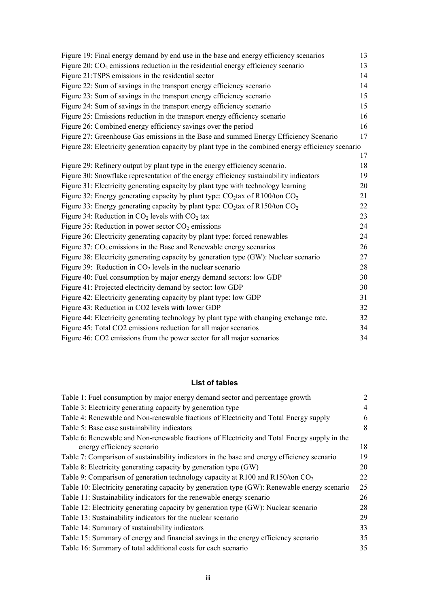| Figure 19: Final energy demand by end use in the base and energy efficiency scenarios               | 13 |
|-----------------------------------------------------------------------------------------------------|----|
| Figure 20: $CO2$ emissions reduction in the residential energy efficiency scenario                  | 13 |
| Figure 21:TSPS emissions in the residential sector                                                  | 14 |
| Figure 22: Sum of savings in the transport energy efficiency scenario                               | 14 |
| Figure 23: Sum of savings in the transport energy efficiency scenario                               | 15 |
| Figure 24: Sum of savings in the transport energy efficiency scenario                               | 15 |
| Figure 25: Emissions reduction in the transport energy efficiency scenario                          | 16 |
| Figure 26: Combined energy efficiency savings over the period                                       | 16 |
| Figure 27: Greenhouse Gas emissions in the Base and summed Energy Efficiency Scenario               | 17 |
| Figure 28: Electricity generation capacity by plant type in the combined energy efficiency scenario |    |
|                                                                                                     | 17 |
| Figure 29: Refinery output by plant type in the energy efficiency scenario.                         | 18 |
| Figure 30: Snowflake representation of the energy efficiency sustainability indicators              | 19 |
| Figure 31: Electricity generating capacity by plant type with technology learning                   | 20 |
| Figure 32: Energy generating capacity by plant type: $CO_2$ tax of R100/ton $CO_2$                  | 21 |
| Figure 33: Energy generating capacity by plant type: $CO_2$ tax of R150/ton $CO_2$                  | 22 |
| Figure 34: Reduction in $CO2$ levels with $CO2$ tax                                                 | 23 |
| Figure 35: Reduction in power sector $CO2$ emissions                                                | 24 |
| Figure 36: Electricity generating capacity by plant type: forced renewables                         | 24 |
| Figure 37: $CO2$ emissions in the Base and Renewable energy scenarios                               | 26 |
| Figure 38: Electricity generating capacity by generation type (GW): Nuclear scenario                | 27 |
| Figure 39: Reduction in $CO2$ levels in the nuclear scenario                                        | 28 |
| Figure 40: Fuel consumption by major energy demand sectors: low GDP                                 | 30 |
| Figure 41: Projected electricity demand by sector: low GDP                                          | 30 |
| Figure 42: Electricity generating capacity by plant type: low GDP                                   | 31 |
| Figure 43: Reduction in CO2 levels with lower GDP                                                   | 32 |
| Figure 44: Electricity generating technology by plant type with changing exchange rate.             | 32 |
| Figure 45: Total CO2 emissions reduction for all major scenarios                                    | 34 |
| Figure 46: CO2 emissions from the power sector for all major scenarios                              | 34 |

#### List of tables

| Table 1: Fuel consumption by major energy demand sector and percentage growth                | 2              |
|----------------------------------------------------------------------------------------------|----------------|
| Table 3: Electricity generating capacity by generation type                                  | $\overline{4}$ |
| Table 4: Renewable and Non-renewable fractions of Electricity and Total Energy supply        | 6              |
| Table 5: Base case sustainability indicators                                                 | 8              |
| Table 6: Renewable and Non-renewable fractions of Electricity and Total Energy supply in the |                |
| energy efficiency scenario                                                                   | 18             |
| Table 7: Comparison of sustainability indicators in the base and energy efficiency scenario  | 19             |
| Table 8: Electricity generating capacity by generation type (GW)                             | 20             |
| Table 9: Comparison of generation technology capacity at R100 and R150/ton $CO2$             | 22             |
| Table 10: Electricity generating capacity by generation type (GW): Renewable energy scenario | 25             |
| Table 11: Sustainability indicators for the renewable energy scenario                        | 26             |
| Table 12: Electricity generating capacity by generation type (GW): Nuclear scenario          | 28             |
| Table 13: Sustainability indicators for the nuclear scenario                                 | 29             |
| Table 14: Summary of sustainability indicators                                               | 33             |
| Table 15: Summary of energy and financial savings in the energy efficiency scenario          | 35             |
| Table 16: Summary of total additional costs for each scenario                                | 35             |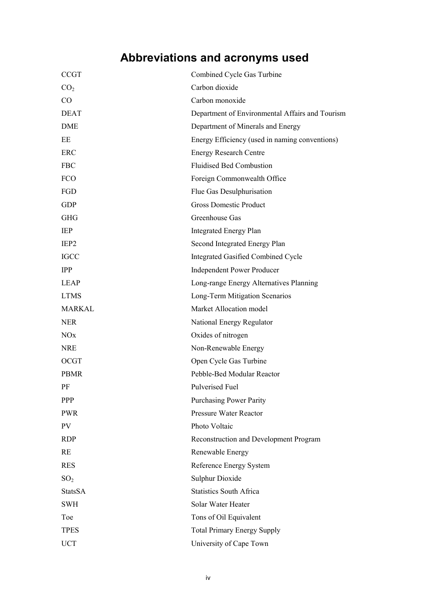# Abbreviations and acronyms used

| <b>CCGT</b>           | Combined Cycle Gas Turbine                      |
|-----------------------|-------------------------------------------------|
| CO <sub>2</sub>       | Carbon dioxide                                  |
| CO                    | Carbon monoxide                                 |
| <b>DEAT</b>           | Department of Environmental Affairs and Tourism |
| DME                   | Department of Minerals and Energy               |
| EE                    | Energy Efficiency (used in naming conventions)  |
| ERC                   | <b>Energy Research Centre</b>                   |
| <b>FBC</b>            | <b>Fluidised Bed Combustion</b>                 |
| FCO                   | Foreign Commonwealth Office                     |
| FGD                   | Flue Gas Desulphurisation                       |
| <b>GDP</b>            | <b>Gross Domestic Product</b>                   |
| <b>GHG</b>            | Greenhouse Gas                                  |
| IEP                   | <b>Integrated Energy Plan</b>                   |
| IEP <sub>2</sub>      | Second Integrated Energy Plan                   |
| <b>IGCC</b>           | Integrated Gasified Combined Cycle              |
| <b>IPP</b>            | <b>Independent Power Producer</b>               |
| <b>LEAP</b>           | Long-range Energy Alternatives Planning         |
| <b>LTMS</b>           | Long-Term Mitigation Scenarios                  |
| <b>MARKAL</b>         | Market Allocation model                         |
| <b>NER</b>            | National Energy Regulator                       |
| <b>NO<sub>x</sub></b> | Oxides of nitrogen                              |
| <b>NRE</b>            | Non-Renewable Energy                            |
| <b>OCGT</b>           | Open Cycle Gas Turbine                          |
| <b>PBMR</b>           | Pebble-Bed Modular Reactor                      |
| PF                    | <b>Pulverised Fuel</b>                          |
| <b>PPP</b>            | <b>Purchasing Power Parity</b>                  |
| <b>PWR</b>            | <b>Pressure Water Reactor</b>                   |
| <b>PV</b>             | Photo Voltaic                                   |
| <b>RDP</b>            | Reconstruction and Development Program          |
| RE                    | Renewable Energy                                |
| <b>RES</b>            | Reference Energy System                         |
| SO <sub>2</sub>       | <b>Sulphur Dioxide</b>                          |
| <b>StatsSA</b>        | <b>Statistics South Africa</b>                  |
| <b>SWH</b>            | Solar Water Heater                              |
| Toe                   | Tons of Oil Equivalent                          |
| <b>TPES</b>           | <b>Total Primary Energy Supply</b>              |
| <b>UCT</b>            | University of Cape Town                         |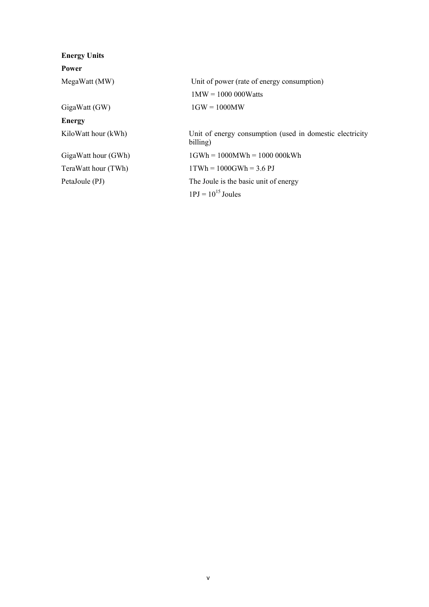| <b>Energy Units</b> |                                                                      |
|---------------------|----------------------------------------------------------------------|
| Power               |                                                                      |
| MegaWatt (MW)       | Unit of power (rate of energy consumption)                           |
|                     | $1MW = 1000 000Watts$                                                |
| GigaWatt (GW)       | $1$ GW = $1000$ MW                                                   |
| <b>Energy</b>       |                                                                      |
| KiloWatt hour (kWh) | Unit of energy consumption (used in domestic electricity<br>billing) |
| GigaWatt hour (GWh) | $1$ GWh = 1000MWh = 1000 000kWh                                      |
| TeraWatt hour (TWh) | $1TWh = 1000GWh = 3.6 PJ$                                            |
| PetaJoule (PJ)      | The Joule is the basic unit of energy                                |
|                     | $1PI = 10^{15}$ Joules                                               |
|                     |                                                                      |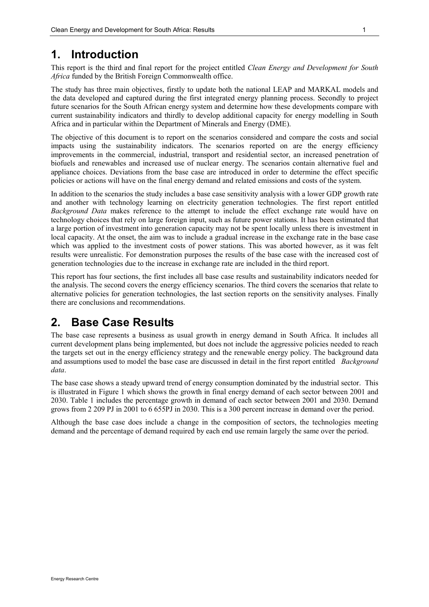# 1. Introduction

This report is the third and final report for the project entitled Clean Energy and Development for South Africa funded by the British Foreign Commonwealth office.

The study has three main objectives, firstly to update both the national LEAP and MARKAL models and the data developed and captured during the first integrated energy planning process. Secondly to project future scenarios for the South African energy system and determine how these developments compare with current sustainability indicators and thirdly to develop additional capacity for energy modelling in South Africa and in particular within the Department of Minerals and Energy (DME).

The objective of this document is to report on the scenarios considered and compare the costs and social impacts using the sustainability indicators. The scenarios reported on are the energy efficiency improvements in the commercial, industrial, transport and residential sector, an increased penetration of biofuels and renewables and increased use of nuclear energy. The scenarios contain alternative fuel and appliance choices. Deviations from the base case are introduced in order to determine the effect specific policies or actions will have on the final energy demand and related emissions and costs of the system.

In addition to the scenarios the study includes a base case sensitivity analysis with a lower GDP growth rate and another with technology learning on electricity generation technologies. The first report entitled Background Data makes reference to the attempt to include the effect exchange rate would have on technology choices that rely on large foreign input, such as future power stations. It has been estimated that a large portion of investment into generation capacity may not be spent locally unless there is investment in local capacity. At the onset, the aim was to include a gradual increase in the exchange rate in the base case which was applied to the investment costs of power stations. This was aborted however, as it was felt results were unrealistic. For demonstration purposes the results of the base case with the increased cost of generation technologies due to the increase in exchange rate are included in the third report.

This report has four sections, the first includes all base case results and sustainability indicators needed for the analysis. The second covers the energy efficiency scenarios. The third covers the scenarios that relate to alternative policies for generation technologies, the last section reports on the sensitivity analyses. Finally there are conclusions and recommendations.

# 2. Base Case Results

The base case represents a business as usual growth in energy demand in South Africa. It includes all current development plans being implemented, but does not include the aggressive policies needed to reach the targets set out in the energy efficiency strategy and the renewable energy policy. The background data and assumptions used to model the base case are discussed in detail in the first report entitled *Background* data.

The base case shows a steady upward trend of energy consumption dominated by the industrial sector. This is illustrated in Figure 1 which shows the growth in final energy demand of each sector between 2001 and 2030. Table 1 includes the percentage growth in demand of each sector between 2001 and 2030. Demand grows from 2 209 PJ in 2001 to 6 655PJ in 2030. This is a 300 percent increase in demand over the period.

Although the base case does include a change in the composition of sectors, the technologies meeting demand and the percentage of demand required by each end use remain largely the same over the period.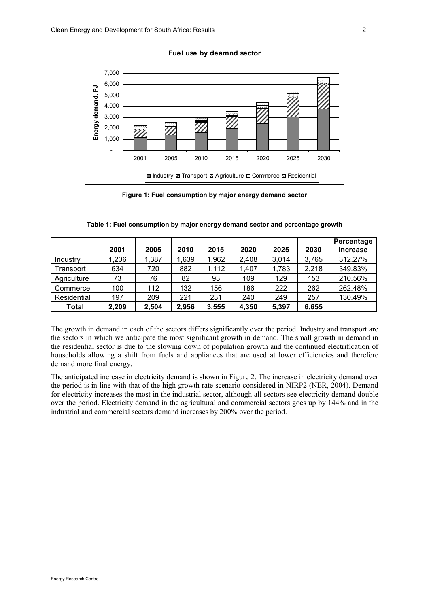

Figure 1: Fuel consumption by major energy demand sector

|             | 2001  | 2005  | 2010  | 2015  | 2020  | 2025  | 2030  | Percentage<br>increase |
|-------------|-------|-------|-------|-------|-------|-------|-------|------------------------|
| Industry    | 1,206 | 1,387 | 1,639 | 1,962 | 2,408 | 3,014 | 3,765 | 312.27%                |
| Transport   | 634   | 720   | 882   | 1,112 | 1,407 | 1,783 | 2,218 | 349.83%                |
| Agriculture | 73    | 76    | 82    | 93    | 109   | 129   | 153   | 210.56%                |
| Commerce    | 100   | 112   | 132   | 156   | 186   | 222   | 262   | 262.48%                |
| Residential | 197   | 209   | 221   | 231   | 240   | 249   | 257   | 130.49%                |
| Total       | 2,209 | 2,504 | 2,956 | 3,555 | 4,350 | 5,397 | 6,655 |                        |

Table 1: Fuel consumption by major energy demand sector and percentage growth

The growth in demand in each of the sectors differs significantly over the period. Industry and transport are the sectors in which we anticipate the most significant growth in demand. The small growth in demand in the residential sector is due to the slowing down of population growth and the continued electrification of households allowing a shift from fuels and appliances that are used at lower efficiencies and therefore demand more final energy.

The anticipated increase in electricity demand is shown in Figure 2. The increase in electricity demand over the period is in line with that of the high growth rate scenario considered in NIRP2 (NER, 2004). Demand for electricity increases the most in the industrial sector, although all sectors see electricity demand double over the period. Electricity demand in the agricultural and commercial sectors goes up by 144% and in the industrial and commercial sectors demand increases by 200% over the period.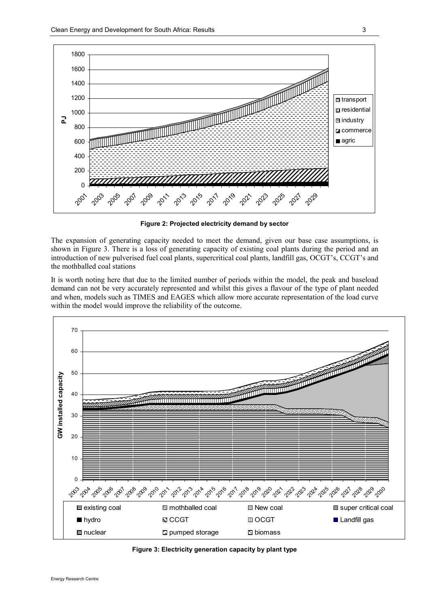

Figure 2: Projected electricity demand by sector

The expansion of generating capacity needed to meet the demand, given our base case assumptions, is shown in Figure 3. There is a loss of generating capacity of existing coal plants during the period and an introduction of new pulverised fuel coal plants, supercritical coal plants, landfill gas, OCGT's, CCGT's and the mothballed coal stations

It is worth noting here that due to the limited number of periods within the model, the peak and baseload demand can not be very accurately represented and whilst this gives a flavour of the type of plant needed and when, models such as TIMES and EAGES which allow more accurate representation of the load curve within the model would improve the reliability of the outcome.



Figure 3: Electricity generation capacity by plant type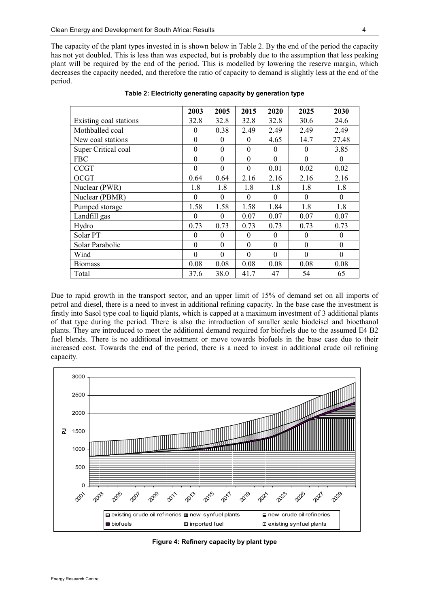The capacity of the plant types invested in is shown below in Table 2. By the end of the period the capacity has not yet doubled. This is less than was expected, but is probably due to the assumption that less peaking plant will be required by the end of the period. This is modelled by lowering the reserve margin, which decreases the capacity needed, and therefore the ratio of capacity to demand is slightly less at the end of the period.

|                        | 2003             | 2005         | 2015             | 2020         | 2025     | 2030           |
|------------------------|------------------|--------------|------------------|--------------|----------|----------------|
| Existing coal stations | 32.8             | 32.8         | 32.8             | 32.8         | 30.6     | 24.6           |
| Mothballed coal        | $\theta$         | 0.38         | 2.49             | 2.49         | 2.49     | 2.49           |
| New coal stations      | $\theta$         | $\Omega$     | $\theta$         | 4.65         | 14.7     | 27.48          |
| Super Critical coal    | $\boldsymbol{0}$ | $\mathbf{0}$ | $\theta$         | $\theta$     | $\theta$ | 3.85           |
| <b>FBC</b>             | $\boldsymbol{0}$ | $\mathbf{0}$ | $\theta$         | $\mathbf{0}$ | $\Omega$ | $\theta$       |
| <b>CCGT</b>            | $\mathbf{0}$     | $\theta$     | $\theta$         | 0.01         | 0.02     | 0.02           |
| <b>OCGT</b>            | 0.64             | 0.64         | 2.16             | 2.16         | 2.16     | 2.16           |
| Nuclear (PWR)          | 1.8              | 1.8          | 1.8              | 1.8          | 1.8      | 1.8            |
| Nuclear (PBMR)         | $\overline{0}$   | $\theta$     | $\theta$         | $\theta$     | $\theta$ | $\overline{0}$ |
| Pumped storage         | 1.58             | 1.58         | 1.58             | 1.84         | 1.8      | 1.8            |
| Landfill gas           | $\theta$         | $\theta$     | 0.07             | 0.07         | 0.07     | 0.07           |
| Hydro                  | 0.73             | 0.73         | 0.73             | 0.73         | 0.73     | 0.73           |
| Solar PT               | $\boldsymbol{0}$ | $\Omega$     | $\boldsymbol{0}$ | $\Omega$     | $\Omega$ | $\overline{0}$ |
| Solar Parabolic        | $\mathbf{0}$     | $\Omega$     | $\theta$         | $\Omega$     | $\Omega$ | $\mathbf{0}$   |
| Wind                   | $\mathbf{0}$     | $\theta$     | $\mathbf{0}$     | $\theta$     | $\Omega$ | $\theta$       |
| <b>Biomass</b>         | 0.08             | 0.08         | 0.08             | 0.08         | 0.08     | 0.08           |
| Total                  | 37.6             | 38.0         | 41.7             | 47           | 54       | 65             |

Table 2: Electricity generating capacity by generation type

Due to rapid growth in the transport sector, and an upper limit of 15% of demand set on all imports of petrol and diesel, there is a need to invest in additional refining capacity. In the base case the investment is firstly into Sasol type coal to liquid plants, which is capped at a maximum investment of 3 additional plants of that type during the period. There is also the introduction of smaller scale biodeisel and bioethanol plants. They are introduced to meet the additional demand required for biofuels due to the assumed E4 B2 fuel blends. There is no additional investment or move towards biofuels in the base case due to their increased cost. Towards the end of the period, there is a need to invest in additional crude oil refining capacity.



Figure 4: Refinery capacity by plant type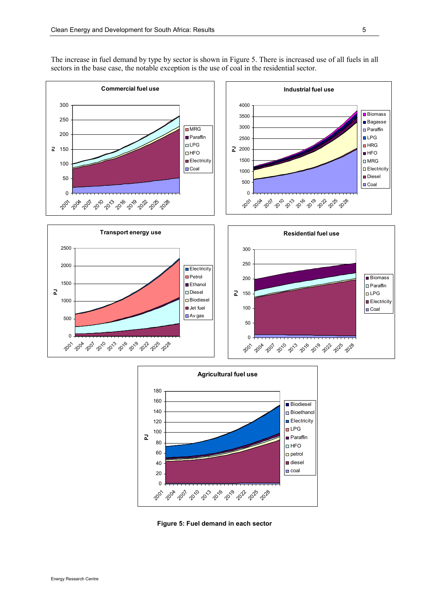

The increase in fuel demand by type by sector is shown in Figure 5. There is increased use of all fuels in all sectors in the base case, the notable exception is the use of coal in the residential sector.



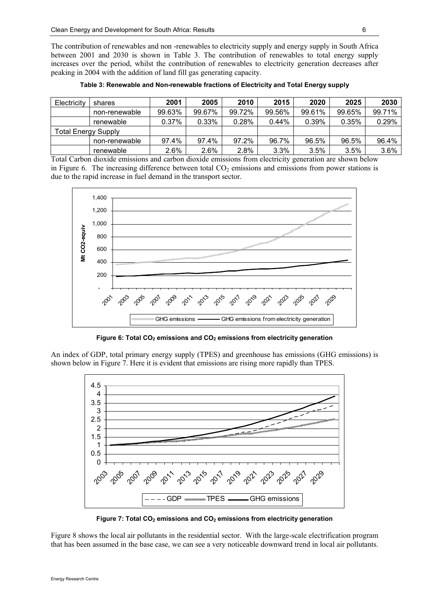The contribution of renewables and non -renewables to electricity supply and energy supply in South Africa between 2001 and 2030 is shown in Table 3. The contribution of renewables to total energy supply increases over the period, whilst the contribution of renewables to electricity generation decreases after peaking in 2004 with the addition of land fill gas generating capacity.

| Electricity                | shares        | 2001   | 2005     | 2010   | 2015     | 2020   | 2025   | 2030   |
|----------------------------|---------------|--------|----------|--------|----------|--------|--------|--------|
|                            | non-renewable | 99.63% | 99.67%   | 99.72% | 99.56%   | 99.61% | 99.65% | 99.71% |
|                            | renewable     | 0.37%  | $0.33\%$ | 0.28%  | $0.44\%$ | 0.39%  | 0.35%  | 0.29%  |
| <b>Total Energy Supply</b> |               |        |          |        |          |        |        |        |
|                            | non-renewable | 97.4%  | 97.4%    | 97.2%  | 96.7%    | 96.5%  | 96.5%  | 96.4%  |
|                            | renewable     | 2.6%   | 2.6%     | 2.8%   | 3.3%     | 3.5%   | 3.5%   | 3.6%   |

Table 3: Renewable and Non-renewable fractions of Electricity and Total Energy supply

Total Carbon dioxide emissions and carbon dioxide emissions from electricity generation are shown below in Figure 6. The increasing difference between total  $CO<sub>2</sub>$  emissions and emissions from power stations is due to the rapid increase in fuel demand in the transport sector.



Figure 6: Total  $CO<sub>2</sub>$  emissions and  $CO<sub>2</sub>$  emissions from electricity generation

An index of GDP, total primary energy supply (TPES) and greenhouse has emissions (GHG emissions) is shown below in Figure 7. Here it is evident that emissions are rising more rapidly than TPES.



Figure 7: Total  $CO<sub>2</sub>$  emissions and  $CO<sub>2</sub>$  emissions from electricity generation

Figure 8 shows the local air pollutants in the residential sector. With the large-scale electrification program that has been assumed in the base case, we can see a very noticeable downward trend in local air pollutants.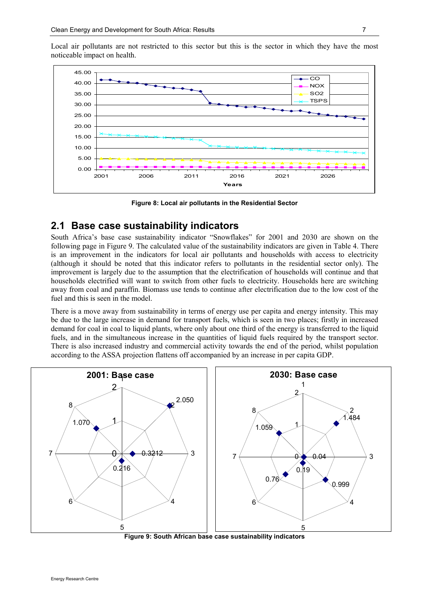Local air pollutants are not restricted to this sector but this is the sector in which they have the most noticeable impact on health.



Figure 8: Local air pollutants in the Residential Sector

#### 2.1 Base case sustainability indicators

South Africa's base case sustainability indicator "Snowflakes" for 2001 and 2030 are shown on the following page in Figure 9. The calculated value of the sustainability indicators are given in Table 4. There is an improvement in the indicators for local air pollutants and households with access to electricity (although it should be noted that this indicator refers to pollutants in the residential sector only). The improvement is largely due to the assumption that the electrification of households will continue and that households electrified will want to switch from other fuels to electricity. Households here are switching away from coal and paraffin. Biomass use tends to continue after electrification due to the low cost of the fuel and this is seen in the model.

There is a move away from sustainability in terms of energy use per capita and energy intensity. This may be due to the large increase in demand for transport fuels, which is seen in two places; firstly in increased demand for coal in coal to liquid plants, where only about one third of the energy is transferred to the liquid fuels, and in the simultaneous increase in the quantities of liquid fuels required by the transport sector. There is also increased industry and commercial activity towards the end of the period, whilst population according to the ASSA projection flattens off accompanied by an increase in per capita GDP.



Figure 9: South African base case sustainability indicators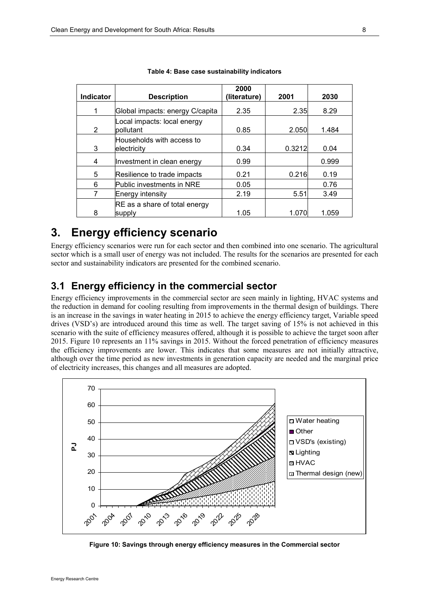| <b>Indicator</b> | <b>Description</b>                        | 2000<br>(literature) | 2001   | 2030  |
|------------------|-------------------------------------------|----------------------|--------|-------|
|                  | Global impacts: energy C/capita           | 2.35                 | 2.35   | 8.29  |
| $\overline{2}$   | Local impacts: local energy<br>lpollutant | 0.85                 | 2.050  | 1.484 |
| 3                | Households with access to<br>electricity  | 0.34                 | 0.3212 | 0.04  |
| 4                | Investment in clean energy                | 0.99                 |        | 0.999 |
| 5                | Resilience to trade impacts               | 0.21                 | 0.216  | 0.19  |
| 6                | Public investments in NRE                 | 0.05                 |        | 0.76  |
|                  | Energy intensity                          | 2.19                 | 5.51   | 3.49  |
| 8                | RE as a share of total energy<br>supply   | 1.05                 | 1.070  | 1.059 |

| Table 4: Base case sustainability indicators |
|----------------------------------------------|
|----------------------------------------------|

# 3. Energy efficiency scenario

Energy efficiency scenarios were run for each sector and then combined into one scenario. The agricultural sector which is a small user of energy was not included. The results for the scenarios are presented for each sector and sustainability indicators are presented for the combined scenario.

## 3.1 Energy efficiency in the commercial sector

Energy efficiency improvements in the commercial sector are seen mainly in lighting, HVAC systems and the reduction in demand for cooling resulting from improvements in the thermal design of buildings. There is an increase in the savings in water heating in 2015 to achieve the energy efficiency target, Variable speed drives (VSD's) are introduced around this time as well. The target saving of 15% is not achieved in this scenario with the suite of efficiency measures offered, although it is possible to achieve the target soon after 2015. Figure 10 represents an 11% savings in 2015. Without the forced penetration of efficiency measures the efficiency improvements are lower. This indicates that some measures are not initially attractive, although over the time period as new investments in generation capacity are needed and the marginal price of electricity increases, this changes and all measures are adopted.



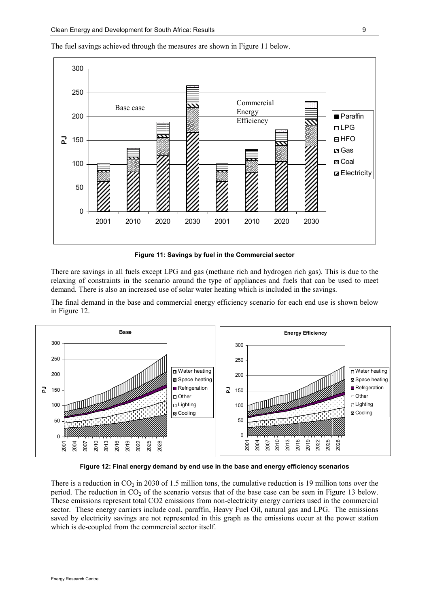

The fuel savings achieved through the measures are shown in Figure 11 below.

Figure 11: Savings by fuel in the Commercial sector

There are savings in all fuels except LPG and gas (methane rich and hydrogen rich gas). This is due to the relaxing of constraints in the scenario around the type of appliances and fuels that can be used to meet demand. There is also an increased use of solar water heating which is included in the savings.

The final demand in the base and commercial energy efficiency scenario for each end use is shown below in Figure 12.



Figure 12: Final energy demand by end use in the base and energy efficiency scenarios

There is a reduction in  $CO<sub>2</sub>$  in 2030 of 1.5 million tons, the cumulative reduction is 19 million tons over the period. The reduction in  $CO<sub>2</sub>$  of the scenario versus that of the base case can be seen in Figure 13 below. These emissions represent total CO2 emissions from non-electricity energy carriers used in the commercial sector. These energy carriers include coal, paraffin, Heavy Fuel Oil, natural gas and LPG. The emissions saved by electricity savings are not represented in this graph as the emissions occur at the power station which is de-coupled from the commercial sector itself.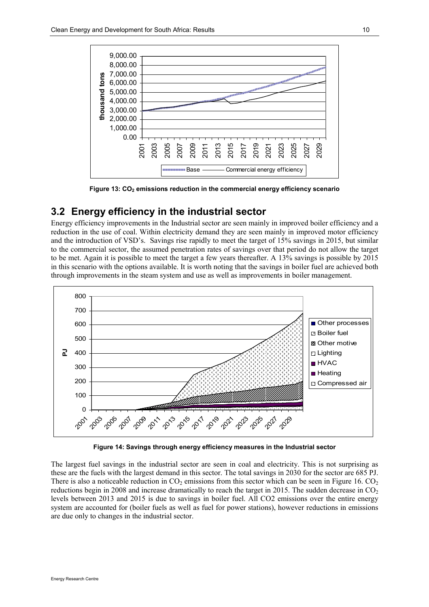

Figure 13: CO<sub>2</sub> emissions reduction in the commercial energy efficiency scenario

### 3.2 Energy efficiency in the industrial sector

Energy efficiency improvements in the Industrial sector are seen mainly in improved boiler efficiency and a reduction in the use of coal. Within electricity demand they are seen mainly in improved motor efficiency and the introduction of VSD's. Savings rise rapidly to meet the target of 15% savings in 2015, but similar to the commercial sector, the assumed penetration rates of savings over that period do not allow the target to be met. Again it is possible to meet the target a few years thereafter. A 13% savings is possible by 2015 in this scenario with the options available. It is worth noting that the savings in boiler fuel are achieved both through improvements in the steam system and use as well as improvements in boiler management.



Figure 14: Savings through energy efficiency measures in the Industrial sector

The largest fuel savings in the industrial sector are seen in coal and electricity. This is not surprising as these are the fuels with the largest demand in this sector. The total savings in 2030 for the sector are 685 PJ. There is also a noticeable reduction in  $CO<sub>2</sub>$  emissions from this sector which can be seen in Figure 16.  $CO<sub>2</sub>$ reductions begin in 2008 and increase dramatically to reach the target in 2015. The sudden decrease in  $CO<sub>2</sub>$ levels between 2013 and 2015 is due to savings in boiler fuel. All CO2 emissions over the entire energy system are accounted for (boiler fuels as well as fuel for power stations), however reductions in emissions are due only to changes in the industrial sector.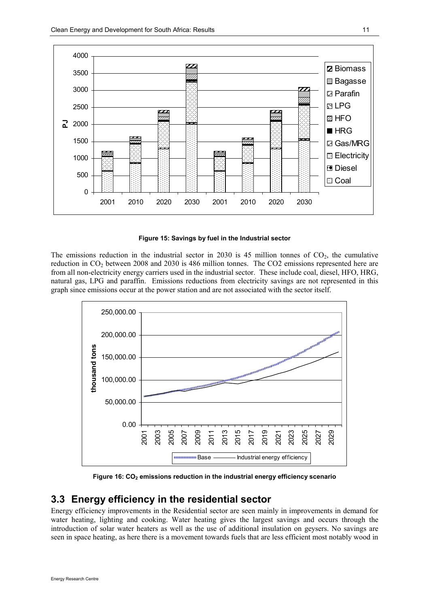

Figure 15: Savings by fuel in the Industrial sector

The emissions reduction in the industrial sector in 2030 is 45 million tonnes of  $CO<sub>2</sub>$ , the cumulative reduction in CO<sub>2</sub> between 2008 and 2030 is 486 million tonnes. The CO2 emissions represented here are from all non-electricity energy carriers used in the industrial sector. These include coal, diesel, HFO, HRG, natural gas, LPG and paraffin. Emissions reductions from electricity savings are not represented in this graph since emissions occur at the power station and are not associated with the sector itself.



Figure 16: CO<sub>2</sub> emissions reduction in the industrial energy efficiency scenario

## 3.3 Energy efficiency in the residential sector

Energy efficiency improvements in the Residential sector are seen mainly in improvements in demand for water heating, lighting and cooking. Water heating gives the largest savings and occurs through the introduction of solar water heaters as well as the use of additional insulation on geysers. No savings are seen in space heating, as here there is a movement towards fuels that are less efficient most notably wood in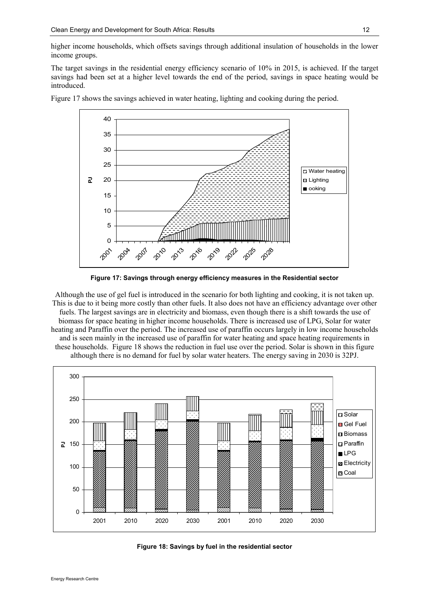higher income households, which offsets savings through additional insulation of households in the lower income groups.

The target savings in the residential energy efficiency scenario of 10% in 2015, is achieved. If the target savings had been set at a higher level towards the end of the period, savings in space heating would be introduced.



Figure 17 shows the savings achieved in water heating, lighting and cooking during the period.

Figure 17: Savings through energy efficiency measures in the Residential sector

Although the use of gel fuel is introduced in the scenario for both lighting and cooking, it is not taken up. This is due to it being more costly than other fuels. It also does not have an efficiency advantage over other fuels. The largest savings are in electricity and biomass, even though there is a shift towards the use of biomass for space heating in higher income households. There is increased use of LPG, Solar for water heating and Paraffin over the period. The increased use of paraffin occurs largely in low income households and is seen mainly in the increased use of paraffin for water heating and space heating requirements in these households. Figure 18 shows the reduction in fuel use over the period. Solar is shown in this figure although there is no demand for fuel by solar water heaters. The energy saving in 2030 is 32PJ.



Figure 18: Savings by fuel in the residential sector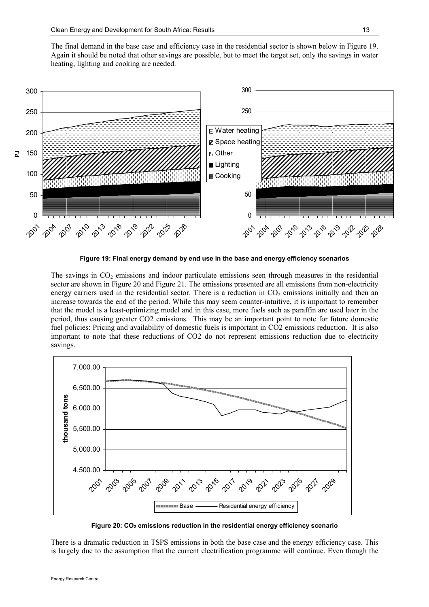The final demand in the base case and efficiency case in the residential sector is shown below in Figure 19. Again it should be noted that other savings are possible, but to meet the target set, only the savings in water heating, lighting and cooking are needed.



Figure 19: Final energy demand by end use in the base and energy efficiency scenarios

The savings in  $CO<sub>2</sub>$  emissions and indoor particulate emissions seen through measures in the residential sector are shown in Figure 20 and Figure 21. The emissions presented are all emissions from non-electricity energy carriers used in the residential sector. There is a reduction in  $CO<sub>2</sub>$  emissions initially and then an increase towards the end of the period. While this may seem counter-intuitive, it is important to remember that the model is a least-optimizing model and in this case, more fuels such as paraffin are used later in the period, thus causing greater CO2 emissions. This may be an important point to note for future domestic fuel policies: Pricing and availability of domestic fuels is important in CO2 emissions reduction. It is also important to note that these reductions of CO2 do not represent emissions reduction due to electricity savings.



Figure 20:  $CO<sub>2</sub>$  emissions reduction in the residential energy efficiency scenario

There is a dramatic reduction in TSPS emissions in both the base case and the energy efficiency case. This is largely due to the assumption that the current electrification programme will continue. Even though the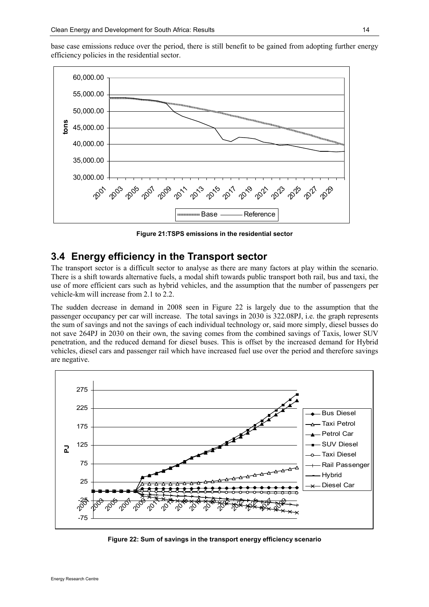base case emissions reduce over the period, there is still benefit to be gained from adopting further energy efficiency policies in the residential sector.



Figure 21:TSPS emissions in the residential sector

### 3.4 Energy efficiency in the Transport sector

The transport sector is a difficult sector to analyse as there are many factors at play within the scenario. There is a shift towards alternative fuels, a modal shift towards public transport both rail, bus and taxi, the use of more efficient cars such as hybrid vehicles, and the assumption that the number of passengers per vehicle-km will increase from 2.1 to 2.2.

The sudden decrease in demand in 2008 seen in Figure 22 is largely due to the assumption that the passenger occupancy per car will increase. The total savings in 2030 is 322.08PJ, i.e. the graph represents the sum of savings and not the savings of each individual technology or, said more simply, diesel busses do not save 264PJ in 2030 on their own, the saving comes from the combined savings of Taxis, lower SUV penetration, and the reduced demand for diesel buses. This is offset by the increased demand for Hybrid vehicles, diesel cars and passenger rail which have increased fuel use over the period and therefore savings are negative.



Figure 22: Sum of savings in the transport energy efficiency scenario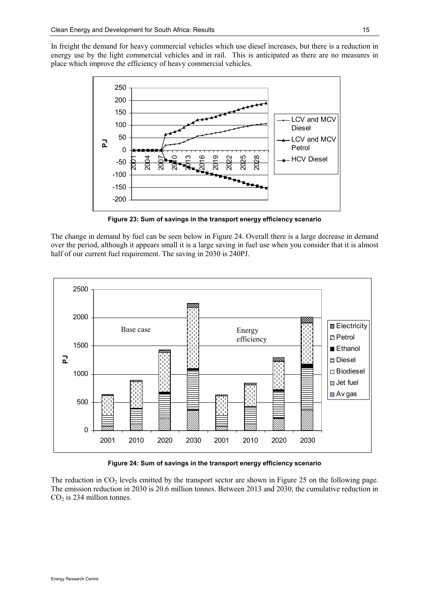In freight the demand for heavy commercial vehicles which use diesel increases, but there is a reduction in energy use by the light commercial vehicles and in rail. This is anticipated as there are no measures in place which improve the efficiency of heavy commercial vehicles.



Figure 23: Sum of savings in the transport energy efficiency scenario

The change in demand by fuel can be seen below in Figure 24. Overall there is a large decrease in demand over the period, although it appears small it is a large saving in fuel use when you consider that it is almost half of our current fuel requirement. The saving in 2030 is 240PJ.



Figure 24: Sum of savings in the transport energy efficiency scenario

The reduction in  $CO<sub>2</sub>$  levels emitted by the transport sector are shown in Figure 25 on the following page. The emission reduction in 2030 is 20.6 million tonnes. Between 2013 and 2030, the cumulative reduction in  $CO<sub>2</sub>$  is 234 million tonnes.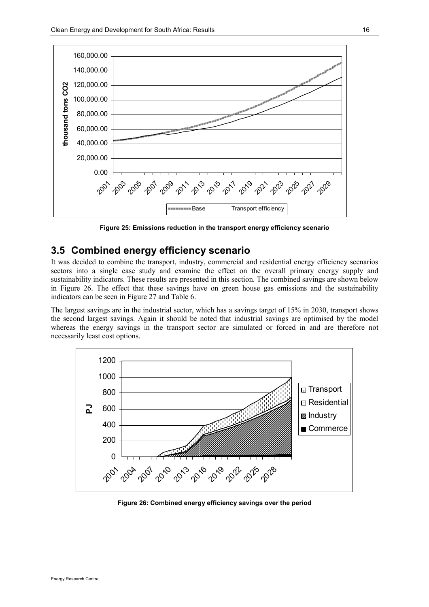

Figure 25: Emissions reduction in the transport energy efficiency scenario

#### 3.5 Combined energy efficiency scenario

It was decided to combine the transport, industry, commercial and residential energy efficiency scenarios sectors into a single case study and examine the effect on the overall primary energy supply and sustainability indicators. These results are presented in this section. The combined savings are shown below in Figure 26. The effect that these savings have on green house gas emissions and the sustainability indicators can be seen in Figure 27 and Table 6.

The largest savings are in the industrial sector, which has a savings target of 15% in 2030, transport shows the second largest savings. Again it should be noted that industrial savings are optimised by the model whereas the energy savings in the transport sector are simulated or forced in and are therefore not necessarily least cost options.



Figure 26: Combined energy efficiency savings over the period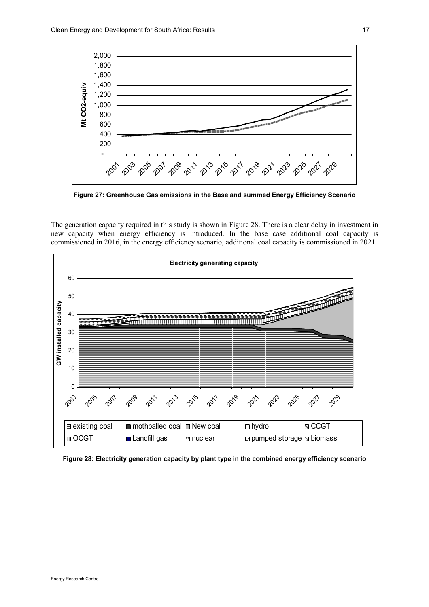

Figure 27: Greenhouse Gas emissions in the Base and summed Energy Efficiency Scenario

The generation capacity required in this study is shown in Figure 28. There is a clear delay in investment in new capacity when energy efficiency is introduced. In the base case additional coal capacity is commissioned in 2016, in the energy efficiency scenario, additional coal capacity is commissioned in 2021.



Figure 28: Electricity generation capacity by plant type in the combined energy efficiency scenario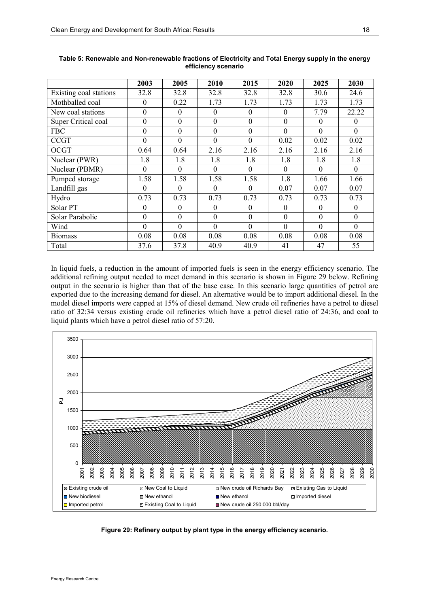|                        | 2003             | 2005             | 2010             | 2015         | 2020           | 2025     | 2030             |
|------------------------|------------------|------------------|------------------|--------------|----------------|----------|------------------|
| Existing coal stations | 32.8             | 32.8             | 32.8             | 32.8         | 32.8           | 30.6     | 24.6             |
| Mothballed coal        | $\theta$         | 0.22             | 1.73             | 1.73         | 1.73           | 1.73     | 1.73             |
| New coal stations      | $\mathbf{0}$     | $\mathbf{0}$     | $\overline{0}$   | $\mathbf{0}$ | $\mathbf{0}$   | 7.79     | 22.22            |
| Super Critical coal    | $\mathbf{0}$     | $\overline{0}$   | $\overline{0}$   | $\mathbf{0}$ | $\mathbf{0}$   | $\theta$ | $\boldsymbol{0}$ |
| <b>FBC</b>             | $\mathbf{0}$     | $\boldsymbol{0}$ | $\boldsymbol{0}$ | $\mathbf{0}$ | $\overline{0}$ | $\theta$ | $\theta$         |
| <b>CCGT</b>            | $\mathbf{0}$     | $\mathbf{0}$     | $\mathbf{0}$     | $\mathbf{0}$ | 0.02           | 0.02     | 0.02             |
| OCGT                   | 0.64             | 0.64             | 2.16             | 2.16         | 2.16           | 2.16     | 2.16             |
| Nuclear (PWR)          | 1.8              | 1.8              | 1.8              | 1.8          | 1.8            | 1.8      | 1.8              |
| Nuclear (PBMR)         | $\mathbf{0}$     | $\mathbf{0}$     | $\theta$         | $\Omega$     | $\Omega$       | $\Omega$ | $\Omega$         |
| Pumped storage         | 1.58             | 1.58             | 1.58             | 1.58         | 1.8            | 1.66     | 1.66             |
| Landfill gas           | $\theta$         | $\Omega$         | $\mathbf{0}$     | $\mathbf{0}$ | 0.07           | 0.07     | 0.07             |
| Hydro                  | 0.73             | 0.73             | 0.73             | 0.73         | 0.73           | 0.73     | 0.73             |
| Solar PT               | $\boldsymbol{0}$ | $\boldsymbol{0}$ | $\boldsymbol{0}$ | $\theta$     | $\theta$       | $\theta$ | $\mathbf{0}$     |
| Solar Parabolic        | $\mathbf{0}$     | $\mathbf{0}$     | $\overline{0}$   | $\mathbf{0}$ | $\theta$       | $\theta$ | $\theta$         |
| Wind                   | $\mathbf{0}$     | $\mathbf{0}$     | $\overline{0}$   | $\mathbf{0}$ | $\Omega$       | $\Omega$ | $\theta$         |
| <b>Biomass</b>         | 0.08             | 0.08             | 0.08             | 0.08         | 0.08           | 0.08     | 0.08             |
| Total                  | 37.6             | 37.8             | 40.9             | 40.9         | 41             | 47       | 55               |

Table 5: Renewable and Non-renewable fractions of Electricity and Total Energy supply in the energy efficiency scenario

In liquid fuels, a reduction in the amount of imported fuels is seen in the energy efficiency scenario. The additional refining output needed to meet demand in this scenario is shown in Figure 29 below. Refining output in the scenario is higher than that of the base case. In this scenario large quantities of petrol are exported due to the increasing demand for diesel. An alternative would be to import additional diesel. In the model diesel imports were capped at 15% of diesel demand. New crude oil refineries have a petrol to diesel ratio of 32:34 versus existing crude oil refineries which have a petrol diesel ratio of 24:36, and coal to liquid plants which have a petrol diesel ratio of 57:20.



Figure 29: Refinery output by plant type in the energy efficiency scenario.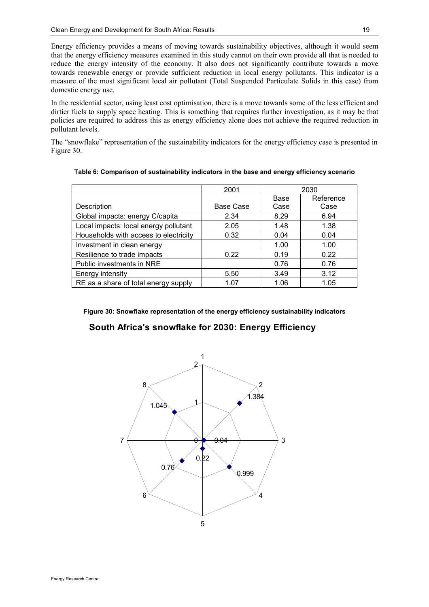Energy efficiency provides a means of moving towards sustainability objectives, although it would seem that the energy efficiency measures examined in this study cannot on their own provide all that is needed to reduce the energy intensity of the economy. It also does not significantly contribute towards a move towards renewable energy or provide sufficient reduction in local energy pollutants. This indicator is a measure of the most significant local air pollutant (Total Suspended Particulate Solids in this case) from domestic energy use.

In the residential sector, using least cost optimisation, there is a move towards some of the less efficient and dirtier fuels to supply space heating. This is something that requires further investigation, as it may be that policies are required to address this as energy efficiency alone does not achieve the required reduction in pollutant levels.

The "snowflake" representation of the sustainability indicators for the energy efficiency case is presented in Figure 30.

|                                       | 2001             |      | 2030      |
|---------------------------------------|------------------|------|-----------|
|                                       |                  | Base | Reference |
| Description                           | <b>Base Case</b> | Case | Case      |
| Global impacts: energy C/capita       | 2.34             | 8.29 | 6.94      |
| Local impacts: local energy pollutant | 2.05             | 1.48 | 1.38      |
| Households with access to electricity | 0.32             | 0.04 | 0.04      |
| Investment in clean energy            |                  | 1.00 | 1.00      |
| Resilience to trade impacts           | 0.22             | 0.19 | 0.22      |
| Public investments in NRE             |                  | 0.76 | 0.76      |
| Energy intensity                      | 5.50             | 3.49 | 3.12      |
| RE as a share of total energy supply  | 1.07             | 1.06 | 1.05      |

Table 6: Comparison of sustainability indicators in the base and energy efficiency scenario

#### Figure 30: Snowflake representation of the energy efficiency sustainability indicators

#### South Africa's snowflake for 2030: Energy Efficiency

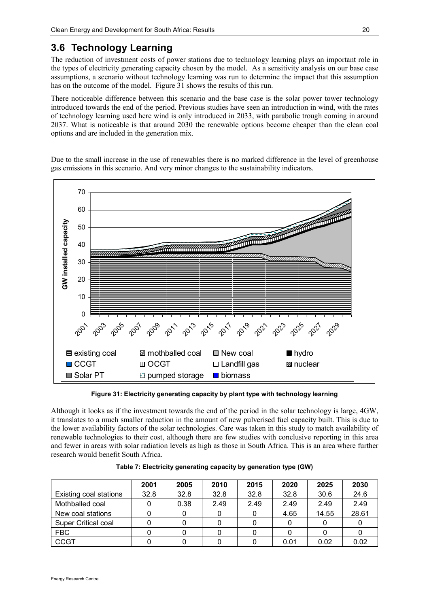## 3.6 Technology Learning

The reduction of investment costs of power stations due to technology learning plays an important role in the types of electricity generating capacity chosen by the model. As a sensitivity analysis on our base case assumptions, a scenario without technology learning was run to determine the impact that this assumption has on the outcome of the model. Figure 31 shows the results of this run.

There noticeable difference between this scenario and the base case is the solar power tower technology introduced towards the end of the period. Previous studies have seen an introduction in wind, with the rates of technology learning used here wind is only introduced in 2033, with parabolic trough coming in around 2037. What is noticeable is that around 2030 the renewable options become cheaper than the clean coal options and are included in the generation mix.

Due to the small increase in the use of renewables there is no marked difference in the level of greenhouse gas emissions in this scenario. And very minor changes to the sustainability indicators.



Figure 31: Electricity generating capacity by plant type with technology learning

Although it looks as if the investment towards the end of the period in the solar technology is large, 4GW, it translates to a much smaller reduction in the amount of new pulverised fuel capacity built. This is due to the lower availability factors of the solar technologies. Care was taken in this study to match availability of renewable technologies to their cost, although there are few studies with conclusive reporting in this area and fewer in areas with solar radiation levels as high as those in South Africa. This is an area where further research would benefit South Africa.

|                        | 2001 | 2005 | 2010 | 2015 | 2020 | 2025  | 2030  |
|------------------------|------|------|------|------|------|-------|-------|
| Existing coal stations | 32.8 | 32.8 | 32.8 | 32.8 | 32.8 | 30.6  | 24.6  |
| Mothballed coal        |      | 0.38 | 2.49 | 2.49 | 2.49 | 2.49  | 2.49  |
| New coal stations      |      |      |      |      | 4.65 | 14.55 | 28.61 |
| Super Critical coal    |      |      |      |      |      |       |       |
| <b>FBC</b>             |      |      |      |      |      |       |       |
| <b>CCGT</b>            |      |      |      |      | 0.01 | 0.02  | 0.02  |

Table 7: Electricity generating capacity by generation type (GW)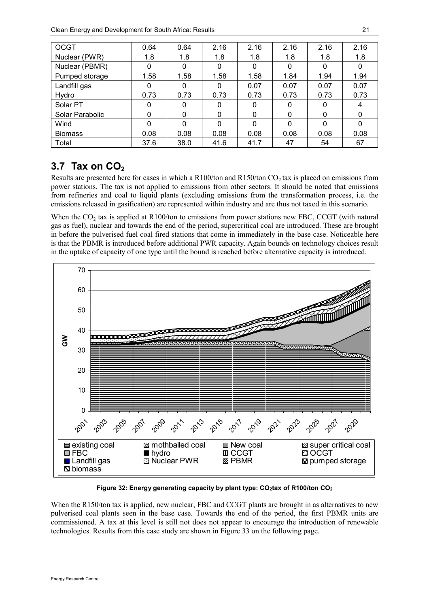| <b>OCGT</b>     | 0.64     | 0.64         | 2.16     | 2.16     | 2.16     | 2.16     | 2.16     |
|-----------------|----------|--------------|----------|----------|----------|----------|----------|
| Nuclear (PWR)   | 1.8      | 1.8          | 1.8      | 1.8      | 1.8      | 1.8      | 1.8      |
| Nuclear (PBMR)  | $\Omega$ | 0            | 0        | $\Omega$ | 0        | $\Omega$ | $\Omega$ |
| Pumped storage  | 1.58     | 1.58         | 1.58     | 1.58     | 1.84     | 1.94     | 1.94     |
| Landfill gas    | 0        | $\mathbf{0}$ | 0        | 0.07     | 0.07     | 0.07     | 0.07     |
| Hydro           | 0.73     | 0.73         | 0.73     | 0.73     | 0.73     | 0.73     | 0.73     |
| Solar PT        | 0        | 0            | 0        | 0        | 0        | 0        | 4        |
| Solar Parabolic | $\Omega$ | $\mathbf{0}$ | 0        | 0        | $\Omega$ | $\Omega$ | $\Omega$ |
| Wind            | $\Omega$ | $\Omega$     | $\Omega$ | $\Omega$ | $\Omega$ | $\Omega$ | $\Omega$ |
| <b>Biomass</b>  | 0.08     | 0.08         | 0.08     | 0.08     | 0.08     | 0.08     | 0.08     |
| Total           | 37.6     | 38.0         | 41.6     | 41.7     | 47       | 54       | 67       |

## 3.7 Tax on  $CO<sub>2</sub>$

Results are presented here for cases in which a R100/ton and R150/ton  $CO<sub>2</sub>$  tax is placed on emissions from power stations. The tax is not applied to emissions from other sectors. It should be noted that emissions from refineries and coal to liquid plants (excluding emissions from the transformation process, i.e. the emissions released in gasification) are represented within industry and are thus not taxed in this scenario.

When the  $CO<sub>2</sub>$  tax is applied at R100/ton to emissions from power stations new FBC, CCGT (with natural gas as fuel), nuclear and towards the end of the period, supercritical coal are introduced. These are brought in before the pulverised fuel coal fired stations that come in immediately in the base case. Noticeable here is that the PBMR is introduced before additional PWR capacity. Again bounds on technology choices result in the uptake of capacity of one type until the bound is reached before alternative capacity is introduced.



Figure 32: Energy generating capacity by plant type:  $CO_2$ tax of R100/ton  $CO_2$ 

When the R150/ton tax is applied, new nuclear, FBC and CCGT plants are brought in as alternatives to new pulverised coal plants seen in the base case. Towards the end of the period, the first PBMR units are commissioned. A tax at this level is still not does not appear to encourage the introduction of renewable technologies. Results from this case study are shown in Figure 33 on the following page.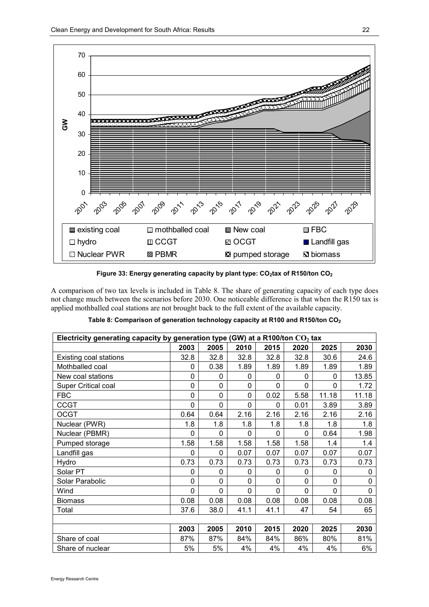

Figure 33: Energy generating capacity by plant type:  $CO<sub>2</sub>$ tax of R150/ton  $CO<sub>2</sub>$ 

A comparison of two tax levels is included in Table 8. The share of generating capacity of each type does not change much between the scenarios before 2030. One noticeable difference is that when the R150 tax is applied mothballed coal stations are not brought back to the full extent of the available capacity.

| Electricity generating capacity by generation type (GW) at a R100/ton $CO2$ tax |          |          |                |          |              |          |          |  |  |
|---------------------------------------------------------------------------------|----------|----------|----------------|----------|--------------|----------|----------|--|--|
|                                                                                 | 2003     | 2005     | 2010           | 2015     | 2020         | 2025     | 2030     |  |  |
| Existing coal stations                                                          | 32.8     | 32.8     | 32.8           | 32.8     | 32.8         | 30.6     | 24.6     |  |  |
| Mothballed coal                                                                 | 0        | 0.38     | 1.89           | 1.89     | 1.89         | 1.89     | 1.89     |  |  |
| New coal stations                                                               | 0        | 0        | 0              | 0        | $\mathbf{0}$ | 0        | 13.85    |  |  |
| <b>Super Critical coal</b>                                                      | 0        | 0        | 0              | 0        | 0            | 0        | 1.72     |  |  |
| <b>FBC</b>                                                                      | 0        | 0        | 0              | 0.02     | 5.58         | 11.18    | 11.18    |  |  |
| <b>CCGT</b>                                                                     | 0        | 0        | 0              | 0        | 0.01         | 3.89     | 3.89     |  |  |
| <b>OCGT</b>                                                                     | 0.64     | 0.64     | 2.16           | 2.16     | 2.16         | 2.16     | 2.16     |  |  |
| Nuclear (PWR)                                                                   | 1.8      | 1.8      | 1.8            | 1.8      | 1.8          | 1.8      | 1.8      |  |  |
| Nuclear (PBMR)                                                                  | $\Omega$ | $\Omega$ | $\Omega$       | $\Omega$ | $\Omega$     | 0.64     | 1.98     |  |  |
| Pumped storage                                                                  | 1.58     | 1.58     | 1.58           | 1.58     | 1.58         | 1.4      | 1.4      |  |  |
| Landfill gas                                                                    | 0        | 0        | 0.07           | 0.07     | 0.07         | 0.07     | 0.07     |  |  |
| Hydro                                                                           | 0.73     | 0.73     | 0.73           | 0.73     | 0.73         | 0.73     | 0.73     |  |  |
| Solar PT                                                                        | 0        | 0        | 0              | 0        | $\mathbf{0}$ | 0        | 0        |  |  |
| Solar Parabolic                                                                 | 0        | 0        | $\overline{0}$ | 0        | $\mathbf 0$  | 0        | 0        |  |  |
| Wind                                                                            | 0        | 0        | $\overline{0}$ | $\Omega$ | 0            | $\Omega$ | $\Omega$ |  |  |
| <b>Biomass</b>                                                                  | 0.08     | 0.08     | 0.08           | 0.08     | 0.08         | 0.08     | 0.08     |  |  |
| Total                                                                           | 37.6     | 38.0     | 41.1           | 41.1     | 47           | 54       | 65       |  |  |
|                                                                                 |          |          |                |          |              |          |          |  |  |
|                                                                                 | 2003     | 2005     | 2010           | 2015     | 2020         | 2025     | 2030     |  |  |
| Share of coal                                                                   | 87%      | 87%      | 84%            | 84%      | 86%          | 80%      | 81%      |  |  |
| Share of nuclear                                                                | 5%       | 5%       | 4%             | 4%       | 4%           | 4%       | 6%       |  |  |

Table 8: Comparison of generation technology capacity at R100 and R150/ton CO<sub>2</sub>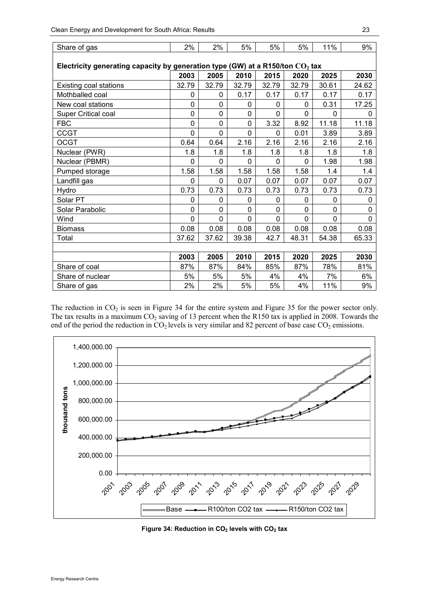| Share of gas                                                                    | 2%          | 2%          | 5%          | 5%           | 5%           | 11%      | 9%       |
|---------------------------------------------------------------------------------|-------------|-------------|-------------|--------------|--------------|----------|----------|
| Electricity generating capacity by generation type (GW) at a R150/ton $CO2$ tax |             |             |             |              |              |          |          |
|                                                                                 | 2003        | 2005        | 2010        | 2015         | 2020         | 2025     | 2030     |
| <b>Existing coal stations</b>                                                   | 32.79       | 32.79       | 32.79       | 32.79        | 32.79        | 30.61    | 24.62    |
| Mothballed coal                                                                 | 0           | 0           | 0.17        | 0.17         | 0.17         | 0.17     | 0.17     |
| New coal stations                                                               | $\mathbf 0$ | 0           | 0           | $\mathbf{0}$ | 0            | 0.31     | 17.25    |
| Super Critical coal                                                             | $\mathbf 0$ | 0           | 0           | $\Omega$     | $\mathbf{0}$ | 0        | $\Omega$ |
| <b>FBC</b>                                                                      | $\pmb{0}$   | 0           | 0           | 3.32         | 8.92         | 11.18    | 11.18    |
| <b>CCGT</b>                                                                     | $\mathbf 0$ | $\mathbf 0$ | $\mathbf 0$ | $\Omega$     | 0.01         | 3.89     | 3.89     |
| <b>OCGT</b>                                                                     | 0.64        | 0.64        | 2.16        | 2.16         | 2.16         | 2.16     | 2.16     |
| Nuclear (PWR)                                                                   | 1.8         | 1.8         | 1.8         | 1.8          | 1.8          | 1.8      | 1.8      |
| Nuclear (PBMR)                                                                  | $\mathbf 0$ | $\Omega$    | 0           | $\Omega$     | $\mathbf 0$  | 1.98     | 1.98     |
| Pumped storage                                                                  | 1.58        | 1.58        | 1.58        | 1.58         | 1.58         | 1.4      | 1.4      |
| Landfill gas                                                                    | $\mathbf 0$ | 0           | 0.07        | 0.07         | 0.07         | 0.07     | 0.07     |
| Hydro                                                                           | 0.73        | 0.73        | 0.73        | 0.73         | 0.73         | 0.73     | 0.73     |
| Solar PT                                                                        | 0           | 0           | 0           | 0            | 0            | 0        | 0        |
| Solar Parabolic                                                                 | $\mathbf 0$ | 0           | 0           | 0            | $\mathbf 0$  | 0        | 0        |
| Wind                                                                            | $\mathbf 0$ | 0           | 0           | 0            | $\mathbf 0$  | $\Omega$ | $\Omega$ |
| <b>Biomass</b>                                                                  | 0.08        | 0.08        | 0.08        | 0.08         | 0.08         | 0.08     | 0.08     |
| Total                                                                           | 37.62       | 37.62       | 39.38       | 42.7         | 48.31        | 54.38    | 65.33    |
|                                                                                 |             |             |             |              |              |          |          |
|                                                                                 | 2003        | 2005        | 2010        | 2015         | 2020         | 2025     | 2030     |
| Share of coal                                                                   | 87%         | 87%         | 84%         | 85%          | 87%          | 78%      | 81%      |
| Share of nuclear                                                                | 5%          | 5%          | 5%          | 4%           | 4%           | 7%       | 6%       |
| Share of gas                                                                    | 2%          | 2%          | 5%          | 5%           | 4%           | 11%      | 9%       |

The reduction in  $CO<sub>2</sub>$  is seen in Figure 34 for the entire system and Figure 35 for the power sector only. The tax results in a maximum CO<sub>2</sub> saving of 13 percent when the R150 tax is applied in 2008. Towards the end of the period the reduction in  $CO<sub>2</sub>$  levels is very similar and 82 percent of base case  $CO<sub>2</sub>$  emissions.



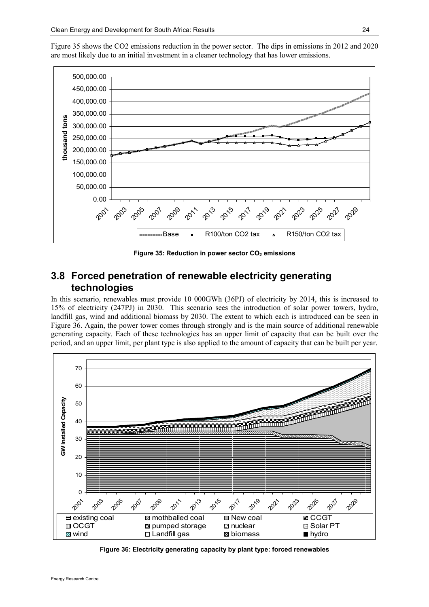Figure 35 shows the CO2 emissions reduction in the power sector. The dips in emissions in 2012 and 2020 are most likely due to an initial investment in a cleaner technology that has lower emissions.



Figure 35: Reduction in power sector  $CO<sub>2</sub>$  emissions

### 3.8 Forced penetration of renewable electricity generating technologies

In this scenario, renewables must provide 10 000GWh (36PJ) of electricity by 2014, this is increased to 15% of electricity (247PJ) in 2030. This scenario sees the introduction of solar power towers, hydro, landfill gas, wind and additional biomass by 2030. The extent to which each is introduced can be seen in Figure 36. Again, the power tower comes through strongly and is the main source of additional renewable generating capacity. Each of these technologies has an upper limit of capacity that can be built over the period, and an upper limit, per plant type is also applied to the amount of capacity that can be built per year.



Figure 36: Electricity generating capacity by plant type: forced renewables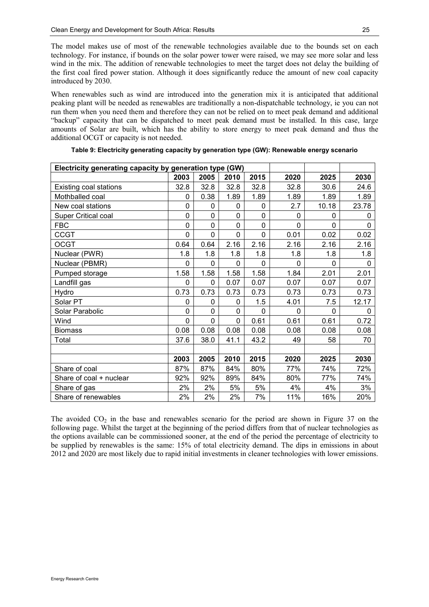The model makes use of most of the renewable technologies available due to the bounds set on each technology. For instance, if bounds on the solar power tower were raised, we may see more solar and less wind in the mix. The addition of renewable technologies to meet the target does not delay the building of the first coal fired power station. Although it does significantly reduce the amount of new coal capacity introduced by 2030.

When renewables such as wind are introduced into the generation mix it is anticipated that additional peaking plant will be needed as renewables are traditionally a non-dispatchable technology, ie you can not run them when you need them and therefore they can not be relied on to meet peak demand and additional "backup" capacity that can be dispatched to meet peak demand must be installed. In this case, large amounts of Solar are built, which has the ability to store energy to meet peak demand and thus the additional OCGT or capacity is not needed.

|                               | Electricity generating capacity by generation type (GW) |              |      |          |          |          |          |  |  |  |
|-------------------------------|---------------------------------------------------------|--------------|------|----------|----------|----------|----------|--|--|--|
|                               | 2003                                                    | 2005         | 2010 | 2015     | 2020     | 2025     | 2030     |  |  |  |
| <b>Existing coal stations</b> | 32.8                                                    | 32.8         | 32.8 | 32.8     | 32.8     | 30.6     | 24.6     |  |  |  |
| Mothballed coal               | 0                                                       | 0.38         | 1.89 | 1.89     | 1.89     | 1.89     | 1.89     |  |  |  |
| New coal stations             | 0                                                       | $\mathbf 0$  | 0    | 0        | 2.7      | 10.18    | 23.78    |  |  |  |
| <b>Super Critical coal</b>    | 0                                                       | $\mathbf 0$  | 0    | 0        | $\Omega$ | $\Omega$ | 0        |  |  |  |
| <b>FBC</b>                    | 0                                                       | $\mathbf{0}$ | 0    | 0        | $\Omega$ | $\Omega$ | $\Omega$ |  |  |  |
| <b>CCGT</b>                   | 0                                                       | $\mathbf 0$  | 0    | 0        | 0.01     | 0.02     | 0.02     |  |  |  |
| <b>OCGT</b>                   | 0.64                                                    | 0.64         | 2.16 | 2.16     | 2.16     | 2.16     | 2.16     |  |  |  |
| Nuclear (PWR)                 | 1.8                                                     | 1.8          | 1.8  | 1.8      | 1.8      | 1.8      | 1.8      |  |  |  |
| Nuclear (PBMR)                | $\Omega$                                                | $\mathbf{0}$ | 0    | $\Omega$ | $\Omega$ | $\Omega$ | $\Omega$ |  |  |  |
| Pumped storage                | 1.58                                                    | 1.58         | 1.58 | 1.58     | 1.84     | 2.01     | 2.01     |  |  |  |
| Landfill gas                  | 0                                                       | $\mathbf 0$  | 0.07 | 0.07     | 0.07     | 0.07     | 0.07     |  |  |  |
| Hydro                         | 0.73                                                    | 0.73         | 0.73 | 0.73     | 0.73     | 0.73     | 0.73     |  |  |  |
| Solar PT                      | 0                                                       | $\mathbf{0}$ | 0    | 1.5      | 4.01     | 7.5      | 12.17    |  |  |  |
| Solar Parabolic               | 0                                                       | $\mathbf 0$  | 0    | $\Omega$ | $\Omega$ | $\Omega$ | $\Omega$ |  |  |  |
| Wind                          | 0                                                       | $\mathbf 0$  | 0    | 0.61     | 0.61     | 0.61     | 0.72     |  |  |  |
| <b>Biomass</b>                | 0.08                                                    | 0.08         | 0.08 | 0.08     | 0.08     | 0.08     | 0.08     |  |  |  |
| Total                         | 37.6                                                    | 38.0         | 41.1 | 43.2     | 49       | 58       | 70       |  |  |  |
|                               |                                                         |              |      |          |          |          |          |  |  |  |
|                               | 2003                                                    | 2005         | 2010 | 2015     | 2020     | 2025     | 2030     |  |  |  |
| Share of coal                 | 87%                                                     | 87%          | 84%  | 80%      | 77%      | 74%      | 72%      |  |  |  |
| Share of coal + nuclear       | 92%                                                     | 92%          | 89%  | 84%      | 80%      | 77%      | 74%      |  |  |  |
| Share of gas                  | 2%                                                      | 2%           | 5%   | 5%       | 4%       | 4%       | 3%       |  |  |  |
| Share of renewables           | 2%                                                      | 2%           | 2%   | 7%       | 11%      | 16%      | 20%      |  |  |  |

| Table 9: Electricity generating capacity by generation type (GW): Renewable energy scenario |  |  |  |
|---------------------------------------------------------------------------------------------|--|--|--|
|                                                                                             |  |  |  |

The avoided  $CO<sub>2</sub>$  in the base and renewables scenario for the period are shown in Figure 37 on the following page. Whilst the target at the beginning of the period differs from that of nuclear technologies as the options available can be commissioned sooner, at the end of the period the percentage of electricity to be supplied by renewables is the same: 15% of total electricity demand. The dips in emissions in about 2012 and 2020 are most likely due to rapid initial investments in cleaner technologies with lower emissions.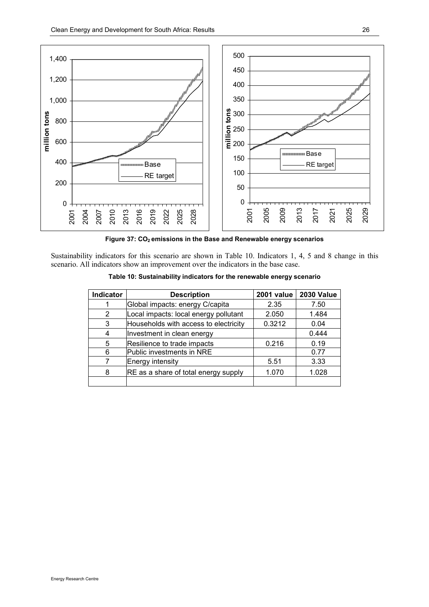

Figure 37: CO<sub>2</sub> emissions in the Base and Renewable energy scenarios

Sustainability indicators for this scenario are shown in Table 10. Indicators 1, 4, 5 and 8 change in this scenario. All indicators show an improvement over the indicators in the base case.

| <b>Indicator</b> | <b>Description</b>                    | 2001 value | <b>2030 Value</b> |
|------------------|---------------------------------------|------------|-------------------|
|                  | Global impacts: energy C/capita       | 2.35       | 7.50              |
| 2                | Local impacts: local energy pollutant | 2.050      | 1.484             |
| 3                | Households with access to electricity | 0.3212     | 0.04              |
| 4                | Investment in clean energy            |            | 0.444             |
| 5                | Resilience to trade impacts           | 0.216      | 0.19              |
| 6                | Public investments in NRE             |            | 0.77              |
|                  | Energy intensity                      | 5.51       | 3.33              |
| 8                | RE as a share of total energy supply  | 1.070      | 1.028             |
|                  |                                       |            |                   |

Table 10: Sustainability indicators for the renewable energy scenario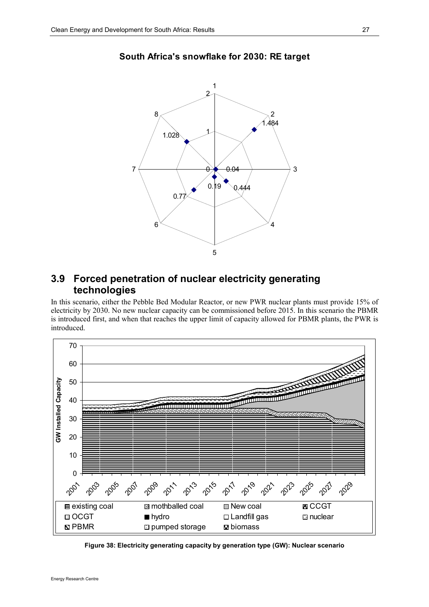

#### South Africa's snowflake for 2030: RE target

## 3.9 Forced penetration of nuclear electricity generating technologies

In this scenario, either the Pebble Bed Modular Reactor, or new PWR nuclear plants must provide 15% of electricity by 2030. No new nuclear capacity can be commissioned before 2015. In this scenario the PBMR is introduced first, and when that reaches the upper limit of capacity allowed for PBMR plants, the PWR is introduced.



Figure 38: Electricity generating capacity by generation type (GW): Nuclear scenario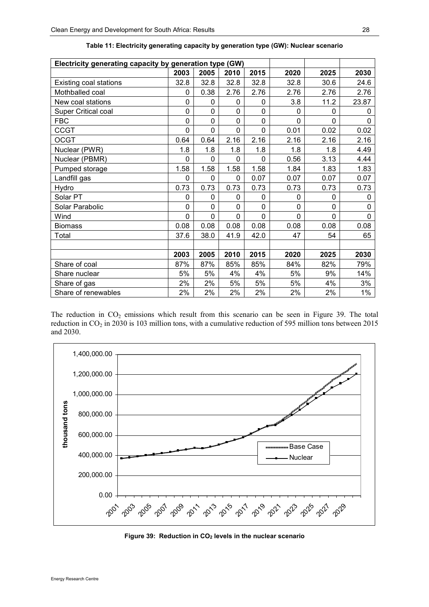| Electricity generating capacity by generation type (GW) |             |          |      |             |      |          |             |
|---------------------------------------------------------|-------------|----------|------|-------------|------|----------|-------------|
|                                                         | 2003        | 2005     | 2010 | 2015        | 2020 | 2025     | 2030        |
| Existing coal stations                                  | 32.8        | 32.8     | 32.8 | 32.8        | 32.8 | 30.6     | 24.6        |
| Mothballed coal                                         | 0           | 0.38     | 2.76 | 2.76        | 2.76 | 2.76     | 2.76        |
| New coal stations                                       | 0           | 0        | 0    | 0           | 3.8  | 11.2     | 23.87       |
| <b>Super Critical coal</b>                              | 0           | 0        | 0    | $\mathbf 0$ | 0    | 0        | 0           |
| <b>FBC</b>                                              | 0           | $\Omega$ | 0    | $\mathbf 0$ | 0    | $\Omega$ | $\Omega$    |
| <b>CCGT</b>                                             | 0           | $\Omega$ | 0    | 0           | 0.01 | 0.02     | 0.02        |
| <b>OCGT</b>                                             | 0.64        | 0.64     | 2.16 | 2.16        | 2.16 | 2.16     | 2.16        |
| Nuclear (PWR)                                           | 1.8         | 1.8      | 1.8  | 1.8         | 1.8  | 1.8      | 4.49        |
| Nuclear (PBMR)                                          | $\mathbf 0$ | 0        | 0    | $\mathbf 0$ | 0.56 | 3.13     | 4.44        |
| Pumped storage                                          | 1.58        | 1.58     | 1.58 | 1.58        | 1.84 | 1.83     | 1.83        |
| Landfill gas                                            | $\mathbf 0$ | 0        | 0    | 0.07        | 0.07 | 0.07     | 0.07        |
| Hydro                                                   | 0.73        | 0.73     | 0.73 | 0.73        | 0.73 | 0.73     | 0.73        |
| Solar PT                                                | 0           | 0        | 0    | 0           | 0    | 0        | $\mathbf 0$ |
| Solar Parabolic                                         | 0           | $\Omega$ | 0    | 0           | 0    | 0        | $\Omega$    |
| Wind                                                    | 0           | $\Omega$ | 0    | 0           | 0    | $\Omega$ | $\Omega$    |
| <b>Biomass</b>                                          | 0.08        | 0.08     | 0.08 | 0.08        | 0.08 | 0.08     | 0.08        |
| Total                                                   | 37.6        | 38.0     | 41.9 | 42.0        | 47   | 54       | 65          |
|                                                         |             |          |      |             |      |          |             |
|                                                         | 2003        | 2005     | 2010 | 2015        | 2020 | 2025     | 2030        |
| Share of coal                                           | 87%         | 87%      | 85%  | 85%         | 84%  | 82%      | 79%         |
| Share nuclear                                           | 5%          | 5%       | 4%   | 4%          | 5%   | 9%       | 14%         |
| Share of gas                                            | 2%          | 2%       | 5%   | 5%          | 5%   | 4%       | 3%          |
| Share of renewables                                     | 2%          | 2%       | 2%   | 2%          | 2%   | 2%       | $1\%$       |

| Table 11: Electricity generating capacity by generation type (GW): Nuclear scenario |  |
|-------------------------------------------------------------------------------------|--|
|-------------------------------------------------------------------------------------|--|

The reduction in  $CO<sub>2</sub>$  emissions which result from this scenario can be seen in Figure 39. The total reduction in CO<sub>2</sub> in 2030 is 103 million tons, with a cumulative reduction of 595 million tons between 2015 and 2030.



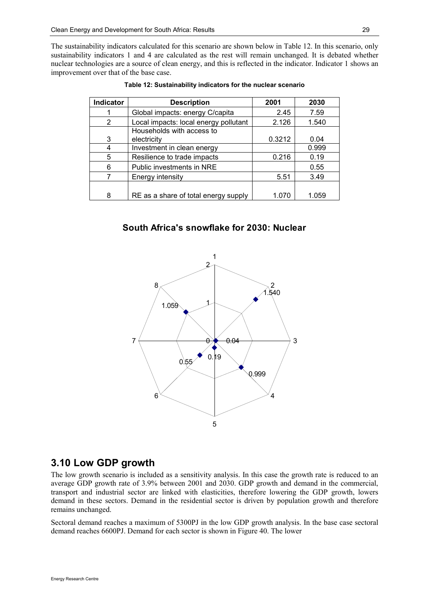The sustainability indicators calculated for this scenario are shown below in Table 12. In this scenario, only sustainability indicators 1 and 4 are calculated as the rest will remain unchanged. It is debated whether nuclear technologies are a source of clean energy, and this is reflected in the indicator. Indicator 1 shows an improvement over that of the base case.

| <b>Indicator</b> | <b>Description</b>                       | 2001   | 2030  |
|------------------|------------------------------------------|--------|-------|
|                  | Global impacts: energy C/capita          | 2.45   | 7.59  |
| 2                | Local impacts: local energy pollutant    | 2.126  | 1.540 |
| 3                | Households with access to<br>electricity | 0.3212 | 0.04  |
|                  | Investment in clean energy               |        | 0.999 |
| 5                | Resilience to trade impacts              | 0.216  | 0.19  |
| 6                | Public investments in NRE                |        | 0.55  |
|                  | Energy intensity                         | 5.51   | 3.49  |
|                  |                                          |        |       |
| 8                | RE as a share of total energy supply     | 1.070  | 1.059 |

Table 12: Sustainability indicators for the nuclear scenario

#### South Africa's snowflake for 2030: Nuclear



### 3.10 Low GDP growth

The low growth scenario is included as a sensitivity analysis. In this case the growth rate is reduced to an average GDP growth rate of 3.9% between 2001 and 2030. GDP growth and demand in the commercial, transport and industrial sector are linked with elasticities, therefore lowering the GDP growth, lowers demand in these sectors. Demand in the residential sector is driven by population growth and therefore remains unchanged.

Sectoral demand reaches a maximum of 5300PJ in the low GDP growth analysis. In the base case sectoral demand reaches 6600PJ. Demand for each sector is shown in Figure 40. The lower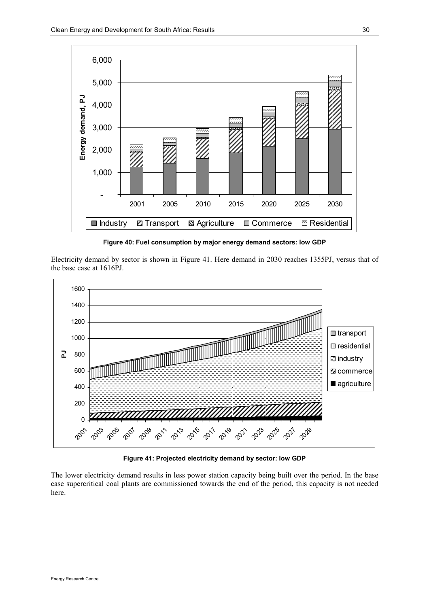

Figure 40: Fuel consumption by major energy demand sectors: low GDP

Electricity demand by sector is shown in Figure 41. Here demand in 2030 reaches 1355PJ, versus that of the base case at 1616PJ.



Figure 41: Projected electricity demand by sector: low GDP

The lower electricity demand results in less power station capacity being built over the period. In the base case supercritical coal plants are commissioned towards the end of the period, this capacity is not needed here.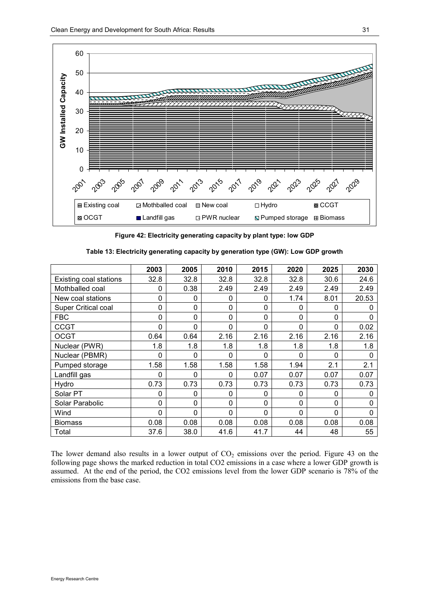

Figure 42: Electricity generating capacity by plant type: low GDP

|                            | 2003        | 2005     | 2010     | 2015     | 2020     | 2025     | 2030  |
|----------------------------|-------------|----------|----------|----------|----------|----------|-------|
| Existing coal stations     | 32.8        | 32.8     | 32.8     | 32.8     | 32.8     | 30.6     | 24.6  |
| Mothballed coal            | 0           | 0.38     | 2.49     | 2.49     | 2.49     | 2.49     | 2.49  |
| New coal stations          | 0           | 0        | 0        | 0        | 1.74     | 8.01     | 20.53 |
| <b>Super Critical coal</b> | 0           | 0        | 0        | 0        | 0        | 0        | 0     |
| <b>FBC</b>                 | 0           | 0        | 0        | 0        | 0        | 0        | 0     |
| <b>CCGT</b>                | 0           | 0        | 0        | 0        | 0        | 0        | 0.02  |
| <b>OCGT</b>                | 0.64        | 0.64     | 2.16     | 2.16     | 2.16     | 2.16     | 2.16  |
| Nuclear (PWR)              | 1.8         | 1.8      | 1.8      | 1.8      | 1.8      | 1.8      | 1.8   |
| Nuclear (PBMR)             | 0           | 0        | 0        | 0        | 0        | 0        | 0     |
| Pumped storage             | 1.58        | 1.58     | 1.58     | 1.58     | 1.94     | 2.1      | 2.1   |
| Landfill gas               | 0           | 0        | $\Omega$ | 0.07     | 0.07     | 0.07     | 0.07  |
| Hydro                      | 0.73        | 0.73     | 0.73     | 0.73     | 0.73     | 0.73     | 0.73  |
| Solar PT                   | 0           | 0        | 0        | 0        | 0        | 0        | 0     |
| Solar Parabolic            | $\mathbf 0$ | 0        | $\Omega$ | $\Omega$ | 0        | $\Omega$ | 0     |
| Wind                       | $\Omega$    | $\Omega$ | $\Omega$ | $\Omega$ | $\Omega$ | $\Omega$ | 0     |
| <b>Biomass</b>             | 0.08        | 0.08     | 0.08     | 0.08     | 0.08     | 0.08     | 0.08  |
| Total                      | 37.6        | 38.0     | 41.6     | 41.7     | 44       | 48       | 55    |

Table 13: Electricity generating capacity by generation type (GW): Low GDP growth

The lower demand also results in a lower output of  $CO<sub>2</sub>$  emissions over the period. Figure 43 on the following page shows the marked reduction in total CO2 emissions in a case where a lower GDP growth is assumed. At the end of the period, the CO2 emissions level from the lower GDP scenario is 78% of the emissions from the base case.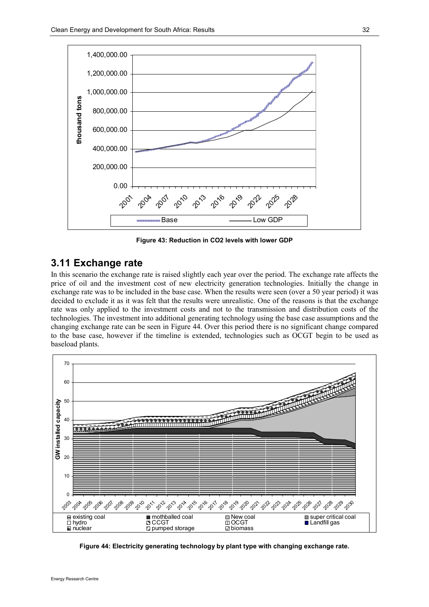

Figure 43: Reduction in CO2 levels with lower GDP

#### 3.11 Exchange rate

In this scenario the exchange rate is raised slightly each year over the period. The exchange rate affects the price of oil and the investment cost of new electricity generation technologies. Initially the change in exchange rate was to be included in the base case. When the results were seen (over a 50 year period) it was decided to exclude it as it was felt that the results were unrealistic. One of the reasons is that the exchange rate was only applied to the investment costs and not to the transmission and distribution costs of the technologies. The investment into additional generating technology using the base case assumptions and the changing exchange rate can be seen in Figure 44. Over this period there is no significant change compared to the base case, however if the timeline is extended, technologies such as OCGT begin to be used as baseload plants.



Figure 44: Electricity generating technology by plant type with changing exchange rate.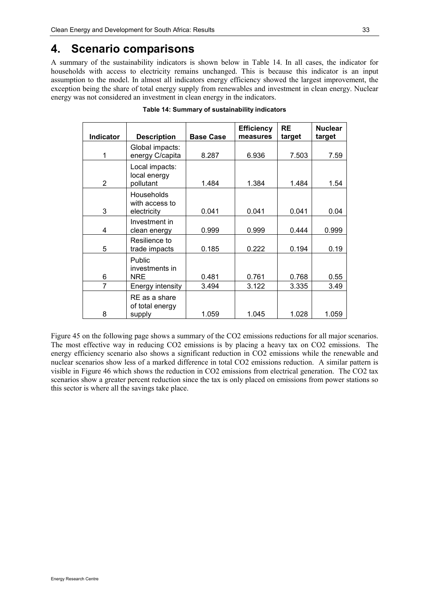## 4. Scenario comparisons

A summary of the sustainability indicators is shown below in Table 14. In all cases, the indicator for households with access to electricity remains unchanged. This is because this indicator is an input assumption to the model. In almost all indicators energy efficiency showed the largest improvement, the exception being the share of total energy supply from renewables and investment in clean energy. Nuclear energy was not considered an investment in clean energy in the indicators.

| <b>Indicator</b> | <b>Description</b>                          | <b>Base Case</b> | <b>Efficiency</b><br>measures | <b>RE</b><br>target | <b>Nuclear</b><br>target |
|------------------|---------------------------------------------|------------------|-------------------------------|---------------------|--------------------------|
| 1                | Global impacts:<br>energy C/capita          | 8.287            | 6.936                         | 7.503               | 7.59                     |
| 2                | Local impacts:<br>local energy<br>pollutant | 1.484            | 1.384                         | 1.484               | 1.54                     |
| 3                | Households<br>with access to<br>electricity | 0.041            | 0.041                         | 0.041               | 0.04                     |
| 4                | Investment in<br>clean energy               | 0.999            | 0.999                         | 0.444               | 0.999                    |
| 5                | Resilience to<br>trade impacts              | 0.185            | 0.222                         | 0.194               | 0.19                     |
| 6                | Public<br>investments in<br>NRE             | 0.481            | 0.761                         | 0.768               | 0.55                     |
| $\overline{7}$   | Energy intensity                            | 3.494            | 3.122                         | 3.335               | 3.49                     |
| 8                | RE as a share<br>of total energy<br>supply  | 1.059            | 1.045                         | 1.028               | 1.059                    |

Table 14: Summary of sustainability indicators

Figure 45 on the following page shows a summary of the CO2 emissions reductions for all major scenarios. The most effective way in reducing CO2 emissions is by placing a heavy tax on CO2 emissions. The energy efficiency scenario also shows a significant reduction in CO2 emissions while the renewable and nuclear scenarios show less of a marked difference in total CO2 emissions reduction. A similar pattern is visible in Figure 46 which shows the reduction in CO2 emissions from electrical generation. The CO2 tax scenarios show a greater percent reduction since the tax is only placed on emissions from power stations so this sector is where all the savings take place.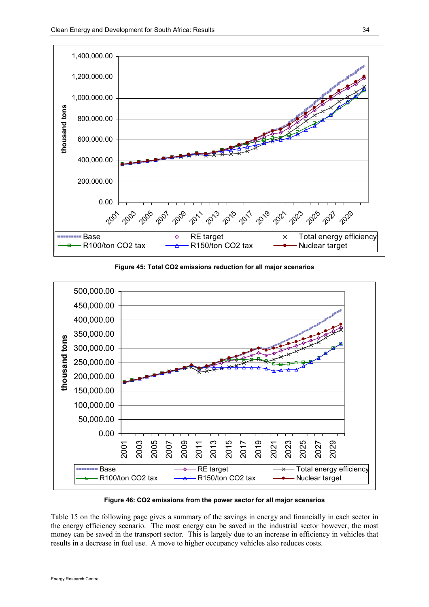

Figure 45: Total CO2 emissions reduction for all major scenarios



Figure 46: CO2 emissions from the power sector for all major scenarios

Table 15 on the following page gives a summary of the savings in energy and financially in each sector in the energy efficiency scenario. The most energy can be saved in the industrial sector however, the most money can be saved in the transport sector. This is largely due to an increase in efficiency in vehicles that results in a decrease in fuel use. A move to higher occupancy vehicles also reduces costs.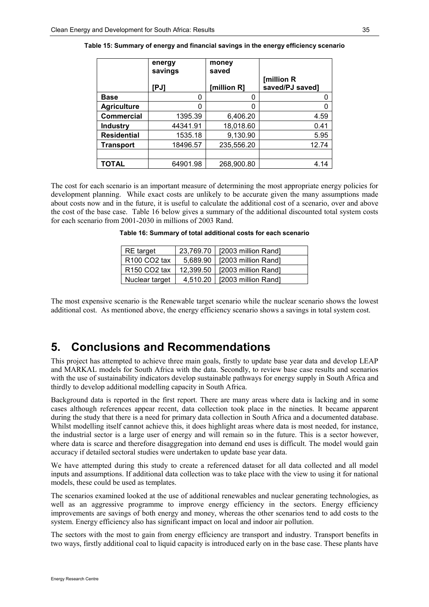|                    | energy<br>savings | money<br>saved |                               |
|--------------------|-------------------|----------------|-------------------------------|
|                    | [PJ]              | [million R]    | [million R<br>saved/PJ saved] |
| <b>Base</b>        | 0                 |                | 0                             |
| <b>Agriculture</b> | ი                 |                | 0                             |
| <b>Commercial</b>  | 1395.39           | 6,406.20       | 4.59                          |
| <b>Industry</b>    | 44341.91          | 18,018.60      | 0.41                          |
| <b>Residential</b> | 1535.18           | 9,130.90       | 5.95                          |
| Transport          | 18496.57          | 235,556.20     | 12.74                         |
|                    |                   |                |                               |
| <b>TOTAL</b>       | 64901.98          | 268,900.80     | 4.14                          |

Table 15: Summary of energy and financial savings in the energy efficiency scenario

The cost for each scenario is an important measure of determining the most appropriate energy policies for development planning. While exact costs are unlikely to be accurate given the many assumptions made about costs now and in the future, it is useful to calculate the additional cost of a scenario, over and above the cost of the base case. Table 16 below gives a summary of the additional discounted total system costs for each scenario from 2001-2030 in millions of 2003 Rand.

|  | Table 16: Summary of total additional costs for each scenario |  |
|--|---------------------------------------------------------------|--|
|--|---------------------------------------------------------------|--|

| <b>RE</b> target                     |           | 23,769.70   [2003 million Rand] |  |
|--------------------------------------|-----------|---------------------------------|--|
| R100 CO2 tax                         |           | 5,689.90   [2003 million Rand]  |  |
| R <sub>150</sub> CO <sub>2</sub> tax | 12.399.50 | [2003 million Rand]             |  |
| Nuclear target                       | 4,510.20  | [2003 million Rand]             |  |

The most expensive scenario is the Renewable target scenario while the nuclear scenario shows the lowest additional cost. As mentioned above, the energy efficiency scenario shows a savings in total system cost.

## 5. Conclusions and Recommendations

This project has attempted to achieve three main goals, firstly to update base year data and develop LEAP and MARKAL models for South Africa with the data. Secondly, to review base case results and scenarios with the use of sustainability indicators develop sustainable pathways for energy supply in South Africa and thirdly to develop additional modelling capacity in South Africa.

Background data is reported in the first report. There are many areas where data is lacking and in some cases although references appear recent, data collection took place in the nineties. It became apparent during the study that there is a need for primary data collection in South Africa and a documented database. Whilst modelling itself cannot achieve this, it does highlight areas where data is most needed, for instance, the industrial sector is a large user of energy and will remain so in the future. This is a sector however, where data is scarce and therefore disaggregation into demand end uses is difficult. The model would gain accuracy if detailed sectoral studies were undertaken to update base year data.

We have attempted during this study to create a referenced dataset for all data collected and all model inputs and assumptions. If additional data collection was to take place with the view to using it for national models, these could be used as templates.

The scenarios examined looked at the use of additional renewables and nuclear generating technologies, as well as an aggressive programme to improve energy efficiency in the sectors. Energy efficiency improvements are savings of both energy and money, whereas the other scenarios tend to add costs to the system. Energy efficiency also has significant impact on local and indoor air pollution.

The sectors with the most to gain from energy efficiency are transport and industry. Transport benefits in two ways, firstly additional coal to liquid capacity is introduced early on in the base case. These plants have